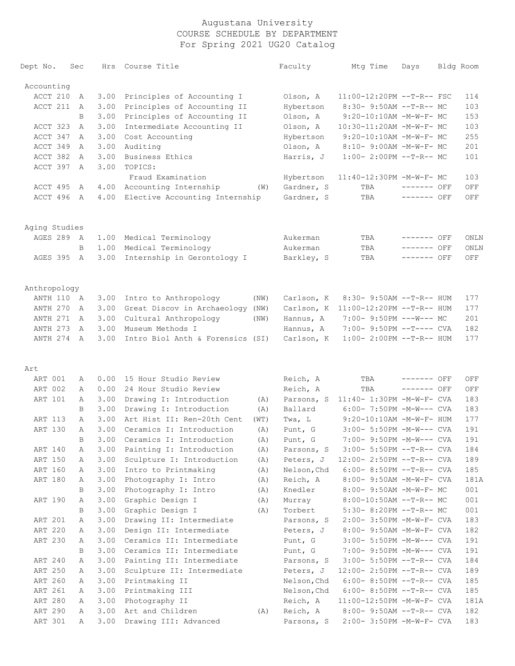| Dept No.      | Sec | Hrs  | Course Title                               | Faculty     | Mtg Time                     | Days        | Bldg Room |
|---------------|-----|------|--------------------------------------------|-------------|------------------------------|-------------|-----------|
| Accounting    |     |      |                                            |             |                              |             |           |
| ACCT 210      | А   | 3.00 | Principles of Accounting I                 | Olson, A    | $11:00-12:20PM$ --T-R-- FSC  |             | 114       |
| ACCT 211      | A   | 3.00 | Principles of Accounting II                | Hybertson   | $8:30-9:50AM --T-R--MC$      |             | 103       |
|               | B   | 3.00 | Principles of Accounting II                | Olson, A    | $9:20-10:10AM$ -M-W-F- MC    |             | 153       |
| ACCT 323      | Α   | 3.00 | Intermediate Accounting II                 | Olson, A    | 10:30-11:20AM -M-W-F- MC     |             | 103       |
| ACCT 347      | Α   | 3.00 | Cost Accounting                            | Hybertson   | $9:20-10:10AM$ -M-W-F- MC    |             | 255       |
| ACCT 349      | Α   | 3.00 | Auditing                                   | Olson, A    | 8:10- 9:00AM -M-W-F- MC      |             | 201       |
| ACCT 382      | A   | 3.00 | Business Ethics                            | Harris, J   | $1:00-2:00PM$ --T-R-- MC     |             | 101       |
| ACCT 397      | Α   | 3.00 | TOPICS:                                    |             |                              |             |           |
|               |     |      | Fraud Examination                          | Hybertson   | 11:40-12:30PM -M-W-F- MC     |             | 103       |
| ACCT 495      | A   | 4.00 | Accounting Internship<br>(W)               | Gardner, S  | TBA                          | ------- OFF | OFF       |
| ACCT 496      | A   | 4.00 | Elective Accounting Internship             | Gardner, S  | TBA                          | ------- OFF | OFF       |
| Aging Studies |     |      |                                            |             |                              |             |           |
| AGES 289 A    |     | 1.00 | Medical Terminology                        | Aukerman    | TBA                          | ------- OFF | ONLN      |
|               | B   | 1.00 | Medical Terminology                        | Aukerman    | TBA                          | ------- OFF | ONLN      |
| AGES 395      | A   | 3.00 | Internship in Gerontology I                | Barkley, S  | TBA                          | ------- OFF | OFF       |
| Anthropology  |     |      |                                            |             |                              |             |           |
| ANTH 110      | A   | 3.00 | Intro to Anthropology<br>(NW)              | Carlson, K  | $8:30 - 9:50AM -T-R-- HUM$   |             | 177       |
| ANTH 270      | A   | 3.00 | Great Discov in Archaeology<br>(NW)        | Carlson, K  | $11:00-12:20PM$ --T-R-- HUM  |             | 177       |
| ANTH 271      | A   | 3.00 | Cultural Anthropology<br>(NW)              | Hannus, A   | $7:00-9:50PM ---W---MC$      |             | 201       |
| ANTH 273      | A   | 3.00 | Museum Methods I                           | Hannus, A   | 7:00- 9:50PM --T---- CVA     |             | 182       |
| ANTH 274      | A   | 3.00 | Intro Biol Anth & Forensics (SI)           | Carlson, K  | $1:00-2:00PM -T-R--HUM$      |             | 177       |
|               |     |      |                                            |             |                              |             |           |
| Art           |     |      |                                            |             |                              |             |           |
| ART 001       | А   | 0.00 | 15 Hour Studio Review                      | Reich, A    | TBA                          | ------- OFF | OFF       |
| ART 002       | Α   | 0.00 | 24 Hour Studio Review                      | Reich, A    | TBA                          | ------- OFF | OFF       |
| ART 101       | Α   | 3.00 | Drawing I: Introduction<br>(A)             | Parsons, S  | 11:40- 1:30PM -M-W-F- CVA    |             | 183       |
|               | B   | 3.00 | Drawing I: Introduction<br>(A)             | Ballard     | $6:00-7:50PM -M-W---$ CVA    |             | 183       |
| ART 113       | Α   | 3.00 | Art Hist II: Ren-20th Cent<br>(WT)         | Twa, L      | $9:20-10:10AM - M-W-F- HUM$  |             | 177       |
| ART 130       | Α   | 3.00 | Ceramics I: Introduction<br>(A)            | Punt, G     | $3:00 - 5:50PM - M-W---$ CVA |             | 191       |
|               | B   | 3.00 | Ceramics I: Introduction<br>$(\mathbb{A})$ | Punt, G     | 7:00- 9:50PM -M-W--- CVA     |             | 191       |
| ART 140       | Α   | 3.00 | Painting I: Introduction<br>(A)            | Parsons, S  | 3:00- 5:50PM --T-R-- CVA     |             | 184       |
| ART 150       | Α   | 3.00 | Sculpture I: Introduction<br>(A)           | Peters, J   | 12:00- 2:50PM --T-R-- CVA    |             | 189       |
| ART 160       | Α   | 3.00 | Intro to Printmaking<br>(A)                | Nelson, Chd | $6:00-8:50PM --T-R--CVA$     |             | 185       |
| ART 180       | Α   | 3.00 | Photography I: Intro<br>(A)                | Reich, A    | 8:00- 9:50AM -M-W-F- CVA     |             | 181A      |
|               | B   | 3.00 | Photography I: Intro<br>(A)                | Knedler     | 8:00- 9:50AM -M-W-F- MC      |             | 001       |
| ART 190       | Α   | 3.00 | Graphic Design I<br>(A)                    | Murray      | $8:00-10:50AM$ --T-R-- MC    |             | 001       |
|               | B   | 3.00 | Graphic Design I<br>(A)                    | Torbert     | $5:30-8:20PM -T-R--MC$       |             | 001       |
| ART 201       | Α   | 3.00 | Drawing II: Intermediate                   | Parsons, S  | 2:00- 3:50PM -M-W-F- CVA     |             | 183       |
| ART 220       | Α   | 3.00 | Design II: Intermediate                    | Peters, J   | 8:00- 9:50AM -M-W-F- CVA     |             | 182       |
| ART 230       | Α   | 3.00 | Ceramics II: Intermediate                  | Punt, G     | 3:00- 5:50PM -M-W--- CVA     |             | 191       |
|               | B   | 3.00 | Ceramics II: Intermediate                  | Punt, G     | 7:00- 9:50PM -M-W--- CVA     |             | 191       |
| ART 240       | Α   | 3.00 | Painting II: Intermediate                  | Parsons, S  | 3:00- 5:50PM --T-R-- CVA     |             | 184       |
| ART 250       | Α   | 3.00 | Sculpture II: Intermediate                 | Peters, J   | 12:00- 2:50PM --T-R-- CVA    |             | 189       |
| ART 260       | Α   | 3.00 | Printmaking II                             | Nelson, Chd | $6:00-8:50PM --T-R--CVA$     |             | 185       |
| ART 261       | Α   | 3.00 | Printmaking III                            | Nelson, Chd | $6:00-8:50PM -T-R--CVA$      |             | 185       |
| ART 280       | Α   | 3.00 | Photography II                             | Reich, A    | 11:00-12:50PM -M-W-F- CVA    |             | 181A      |
| ART 290       | Α   | 3.00 | Art and Children<br>(A)                    | Reich, A    | $8:00 - 9:50AM -T-R--CVA$    |             | 182       |
| ART 301       | Α   | 3.00 | Drawing III: Advanced                      | Parsons, S  | 2:00- 3:50PM -M-W-F- CVA     |             | 183       |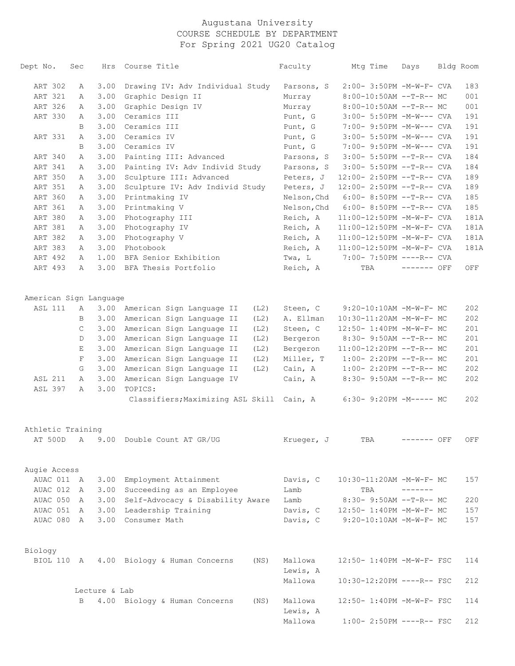| Dept No.                   | Sec          | Hrs           | Course Title                                                 | Faculty             | Mtg Time                   | Days            | Bldg Room |
|----------------------------|--------------|---------------|--------------------------------------------------------------|---------------------|----------------------------|-----------------|-----------|
| ART 302                    | А            | 3.00          | Drawing IV: Adv Individual Study                             | Parsons, S          | 2:00- 3:50PM -M-W-F- CVA   |                 | 183       |
| ART 321                    | Α            | 3.00          | Graphic Design II                                            | Murray              | 8:00-10:50AM --T-R-- MC    |                 | 001       |
| ART 326                    | Α            | 3.00          | Graphic Design IV                                            | Murray              | 8:00-10:50AM --T-R-- MC    |                 | 001       |
| ART 330                    | Α            | 3.00          | Ceramics III                                                 | Punt, G             | 3:00- 5:50PM -M-W--- CVA   |                 | 191       |
|                            | B            | 3.00          | Ceramics III                                                 | Punt, G             | 7:00- 9:50PM -M-W--- CVA   |                 | 191       |
| ART 331                    | Α            | 3.00          | Ceramics IV                                                  | Punt, G             | 3:00- 5:50PM -M-W--- CVA   |                 | 191       |
|                            | B            | 3.00          | Ceramics IV                                                  | Punt, G             | 7:00- 9:50PM -M-W--- CVA   |                 | 191       |
| ART 340                    | Α            | 3.00          | Painting III: Advanced                                       | Parsons, S          | $3:00 - 5:50PM -T-R--CVA$  |                 | 184       |
| ART 341                    | Α            | 3.00          | Painting IV: Adv Individ Study                               | Parsons, S          | $3:00-5:50PM -T-R--CVA$    |                 | 184       |
| ART 350                    | Α            | 3.00          | Sculpture III: Advanced                                      | Peters, J           | $12:00-2:50PM -T-R--CVA$   |                 | 189       |
| ART 351                    | Α            | 3.00          | Sculpture IV: Adv Individ Study                              | Peters, J           | $12:00-2:50PM -T-R--CVA$   |                 | 189       |
| ART 360                    | Α            | 3.00          | Printmaking IV                                               | Nelson, Chd         | $6:00-8:50PM -T-R--CVA$    |                 | 185       |
| ART 361                    | Α            | 3.00          | Printmaking V                                                | Nelson, Chd         | $6:00-8:50PM -T-R--CVA$    |                 | 185       |
| ART 380                    | Α            | 3.00          | Photography III                                              | Reich, A            | 11:00-12:50PM -M-W-F- CVA  |                 | 181A      |
| ART 381                    | Α            | 3.00          | Photography IV                                               | Reich, A            | 11:00-12:50PM -M-W-F- CVA  |                 | 181A      |
| ART 382                    | Α            | 3.00          | Photography V                                                | Reich, A            | 11:00-12:50PM -M-W-F- CVA  |                 | 181A      |
| ART 383                    | Α            | 3.00          | Photobook                                                    | Reich, A            | 11:00-12:50PM -M-W-F- CVA  |                 | 181A      |
| ART 492                    | А            | 1.00          | BFA Senior Exhibition                                        | Twa, L              | 7:00- 7:50PM ----R-- CVA   |                 |           |
| ART 493                    | Α            | 3.00          | BFA Thesis Portfolio                                         | Reich, A            | TBA                        | ------- OFF     | OFF       |
| American Sign Language     |              |               |                                                              |                     |                            |                 |           |
| <b>ASL 111</b>             | Α            | 3.00          | American Sign Language II<br>(L2)                            | Steen, C            | 9:20-10:10AM -M-W-F- MC    |                 | 202       |
|                            | B            | 3.00          | American Sign Language II<br>(L2)                            | A. Ellman           | 10:30-11:20AM -M-W-F- MC   |                 | 202       |
|                            | C            | 3.00          | American Sign Language II<br>(L2)                            | Steen, C            | 12:50- 1:40PM -M-W-F- MC   |                 | 201       |
|                            | D            | 3.00          | American Sign Language II<br>(L2)                            | Bergeron            | 8:30- 9:50AM --T-R-- MC    |                 | 201       |
|                            | Ε            | 3.00          | American Sign Language II<br>(L2)                            | Bergeron            | $11:00-12:20PM$ --T-R-- MC |                 | 201       |
|                            | F            | 3.00          | American Sign Language II<br>(L2)                            | Miller, T           | $1:00-2:20PM -T-R--MC$     |                 | 201       |
|                            | G            | 3.00          | American Sign Language II<br>(L2)                            | Cain, A             | $1:00-2:20PM -T-R--MC$     |                 | 202       |
| ASL 211                    | Α            | 3.00          | American Sign Language IV                                    | Cain, A             | 8:30- 9:50AM --T-R-- MC    |                 | 202       |
| ASL 397                    | Α            | 3.00          | TOPICS:                                                      |                     |                            |                 |           |
|                            |              |               | Classifiers; Maximizing ASL Skill Cain, A                    |                     | $6:30-9:20PM -M----- MC$   |                 | 202       |
| Athletic Training          |              |               |                                                              |                     |                            |                 |           |
|                            |              |               | AT 500D A 9.00 Double Count AT GR/UG                         | Krueger, J          | TBA                        | ------- OFF     | OFF       |
|                            |              |               |                                                              |                     |                            |                 |           |
| Augie Access<br>AUAC 011 A |              |               |                                                              |                     | 10:30-11:20AM -M-W-F- MC   |                 | 157       |
| AUAC 012                   | A            |               | 3.00 Employment Attainment<br>3.00 Succeeding as an Employee | Davis, C<br>Lamb    | TBA                        | $- - - - - - -$ |           |
| AUAC 050                   | $\mathbb{A}$ |               | 3.00 Self-Advocacy & Disability Aware                        | Lamb                | 8:30- 9:50AM --T-R-- MC    |                 | 220       |
| AUAC 051 A                 |              |               | 3.00 Leadership Training                                     | Davis, C            | 12:50- 1:40PM -M-W-F- MC   |                 | 157       |
| AUAC 080 A                 |              |               | 3.00 Consumer Math                                           | Davis, C            | 9:20-10:10AM -M-W-F- MC    |                 | 157       |
|                            |              |               |                                                              |                     |                            |                 |           |
| Biology                    |              |               |                                                              |                     |                            |                 |           |
| BIOL 110 A                 |              |               | 4.00 Biology & Human Concerns<br>(NS)                        | Mallowa<br>Lewis, A | 12:50- 1:40PM -M-W-F- FSC  |                 | 114       |
|                            |              |               |                                                              | Mallowa             | 10:30-12:20PM ----R-- FSC  |                 | 212       |
|                            |              | Lecture & Lab |                                                              |                     |                            |                 |           |
|                            | B            |               | 4.00 Biology & Human Concerns<br>(NS)                        | Mallowa<br>Lewis, A | 12:50- 1:40PM -M-W-F- FSC  |                 | 114       |
|                            |              |               |                                                              | Mallowa             | $1:00-2:50PM$ ----R-- FSC  |                 | 212       |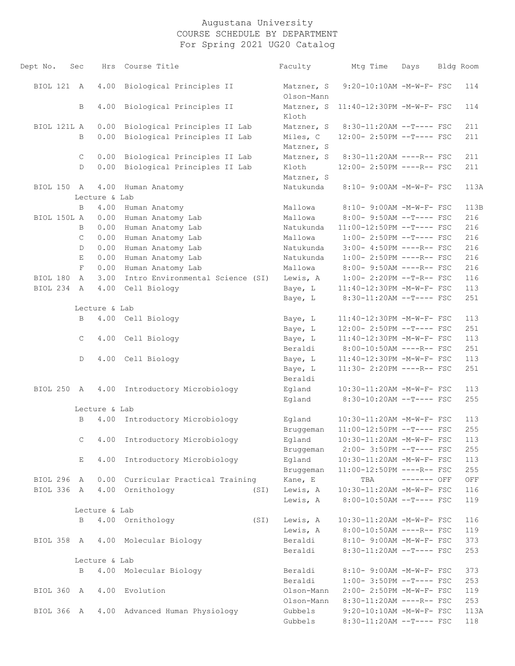| Dept No.    | Sec          | Hrs           | Course Title                              | Faculty                  | Mtg Time                                              | Days        | Bldg Room          |
|-------------|--------------|---------------|-------------------------------------------|--------------------------|-------------------------------------------------------|-------------|--------------------|
| BIOL 121 A  |              | 4.00          | Biological Principles II                  | Matzner, S<br>Olson-Mann | 9:20-10:10AM -M-W-F- FSC                              |             | 114                |
|             | B            | 4.00          | Biological Principles II                  | Matzner, S<br>Kloth      | 11:40-12:30PM -M-W-F- FSC                             |             | 114                |
| BIOL 121L A |              | 0.00          | Biological Principles II Lab              | Matzner, S               | 8:30-11:20AM --T---- FSC                              |             | 211                |
|             | B            | 0.00          | Biological Principles II Lab              | Miles, C<br>Matzner, S   | 12:00- 2:50PM --T---- FSC                             |             | 211                |
|             | $\mathsf{C}$ | 0.00          | Biological Principles II Lab              | Matzner, S               | 8:30-11:20AM ----R-- FSC                              |             | 211                |
|             | D            | 0.00          | Biological Principles II Lab              | Kloth<br>Matzner, S      | 12:00- 2:50PM ----R-- FSC                             |             | 211                |
| BIOL 150 A  |              | 4.00          | Human Anatomy                             | Natukunda                | 8:10- 9:00AM -M-W-F- FSC                              |             | 113A               |
|             |              | Lecture & Lab |                                           |                          |                                                       |             |                    |
|             | B            | 4.00          | Human Anatomy                             | Mallowa                  | 8:10- 9:00AM -M-W-F- FSC                              |             | 113B               |
| BIOL 150L A |              | 0.00          | Human Anatomy Lab                         | Mallowa                  | 8:00- 9:50AM --T---- FSC                              |             | 216                |
|             | B            | 0.00          | Human Anatomy Lab                         | Natukunda                | 11:00-12:50PM --T---- FSC                             |             | 216                |
|             | $\mathsf{C}$ | 0.00          | Human Anatomy Lab                         | Mallowa                  | $1:00-2:50PM$ --T---- FSC                             |             | 216                |
|             | D            | 0.00          | Human Anatomy Lab                         | Natukunda                | 3:00- 4:50PM ----R-- FSC                              |             | 216                |
|             | Ε            | 0.00          | Human Anatomy Lab                         | Natukunda                | $1:00-2:50PM$ ----R-- FSC                             |             | 216                |
|             | $\mathbf F$  | 0.00          | Human Anatomy Lab                         | Mallowa                  | 8:00- 9:50AM ----R-- FSC                              |             | 216                |
| BIOL 180    | A            | 3.00          | Intro Environmental Science (SI)          | Lewis, A                 | $1:00-2:20PM -T-R--FSC$                               |             | 116                |
| BIOL 234 A  |              | 4.00          | Cell Biology                              | Baye, L                  | 11:40-12:30PM -M-W-F- FSC                             |             | 113                |
|             |              |               |                                           | Baye, L                  | 8:30-11:20AM --T---- FSC                              |             | 251                |
|             |              | Lecture & Lab |                                           |                          |                                                       |             |                    |
|             | B            |               | 4.00 Cell Biology                         | Baye, L                  | 11:40-12:30PM -M-W-F- FSC                             |             | 113                |
|             |              |               |                                           | Baye, L                  | 12:00- 2:50PM --T---- FSC                             |             | 251                |
|             | C            |               | 4.00 Cell Biology                         | Baye, L                  | 11:40-12:30PM -M-W-F- FSC                             |             | 113                |
|             |              |               |                                           | Beraldi                  | 8:00-10:50AM ----R-- FSC                              |             | 251                |
|             | D            |               | 4.00 Cell Biology                         | Baye, L                  | 11:40-12:30PM -M-W-F- FSC                             |             | 113                |
|             |              |               |                                           | Baye, L<br>Beraldi       | 11:30- 2:20PM ----R-- FSC                             |             | 251                |
| BIOL 250 A  |              |               | 4.00 Introductory Microbiology            | Egland<br>Egland         | 10:30-11:20AM -M-W-F- FSC<br>8:30-10:20AM --T---- FSC |             | 113<br>255         |
|             |              | Lecture & Lab |                                           |                          |                                                       |             |                    |
|             | B            | 4.00          | Introductory Microbiology                 | Egland                   | 10:30-11:20AM -M-W-F- FSC                             |             | 113                |
|             |              |               |                                           | Bruggeman                | 11:00-12:50PM --T---- FSC                             |             | 255                |
|             |              |               | C 4.00 Introductory Microbiology          | Egland                   | 10:30-11:20AM -M-W-F- FSC                             |             | 113                |
|             |              |               |                                           | Bruggeman                | 2:00- 3:50PM --T---- FSC                              |             | 255                |
|             | Е            |               | 4.00 Introductory Microbiology            | Egland                   | 10:30-11:20AM -M-W-F- FSC                             |             | 113                |
|             |              |               |                                           | Bruggeman                | 11:00-12:50PM ----R-- FSC                             |             | 255                |
| BIOL 296 A  |              |               | 0.00 Curricular Practical Training        | Kane, E                  | TBA                                                   | ------- OFF | $\mathop{\rm OFF}$ |
|             |              |               | BIOL 336 A 4.00 Ornithology<br>(SI)       | Lewis, A                 | 10:30-11:20AM -M-W-F- FSC                             |             | 116                |
|             |              |               |                                           | Lewis, A                 | 8:00-10:50AM --T---- FSC                              |             | 119                |
|             |              | Lecture & Lab |                                           |                          |                                                       |             |                    |
|             | B            |               | 4.00 Ornithology<br>(SI)                  | Lewis, A                 | 10:30-11:20AM -M-W-F- FSC                             |             | 116                |
|             |              |               |                                           | Lewis, A                 | 8:00-10:50AM ----R-- FSC                              |             | 119                |
|             |              |               | BIOL 358 A 4.00 Molecular Biology         | Beraldi                  | 8:10- 9:00AM -M-W-F- FSC                              |             | 373                |
|             |              |               |                                           | Beraldi                  | 8:30-11:20AM --T---- FSC                              |             | 253                |
|             |              | Lecture & Lab |                                           |                          |                                                       |             |                    |
|             | $\mathbf{B}$ |               | 4.00 Molecular Biology                    | Beraldi                  | 8:10- 9:00AM -M-W-F- FSC                              |             | 373                |
|             |              |               |                                           | Beraldi                  | $1:00-3:50PM --T---FSC$                               |             | 253                |
|             |              |               | BIOL 360 A 4.00 Evolution                 | Olson-Mann               | 2:00- 2:50PM -M-W-F- FSC                              |             | 119                |
|             |              |               |                                           | Olson-Mann               | 8:30-11:20AM ----R-- FSC                              |             | 253                |
|             |              |               | BIOL 366 A 4.00 Advanced Human Physiology | Gubbels                  | 9:20-10:10AM -M-W-F- FSC                              |             | 113A               |
|             |              |               |                                           | Gubbels                  | 8:30-11:20AM --T---- FSC                              |             | 118                |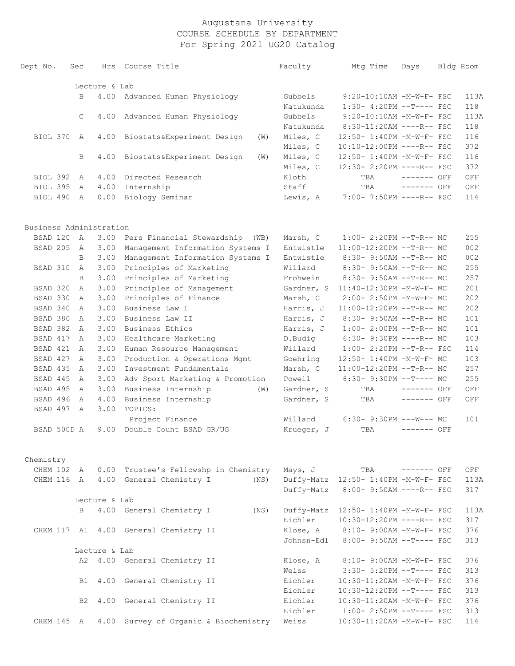| Dept No.                | Sec |                | Hrs           | Course Title                                | Faculty                | Mtg Time                             | Days         | Bldg Room |
|-------------------------|-----|----------------|---------------|---------------------------------------------|------------------------|--------------------------------------|--------------|-----------|
|                         |     |                | Lecture & Lab |                                             |                        |                                      |              |           |
|                         |     | B              | 4.00          | Advanced Human Physiology                   | Gubbels                | 9:20-10:10AM -M-W-F- FSC             |              | 113A      |
|                         |     |                |               |                                             | Natukunda              | $1:30-4:20PM --T---FSC$              |              | 118       |
|                         |     | $\mathsf{C}$   | 4.00          | Advanced Human Physiology                   | Gubbels                | 9:20-10:10AM -M-W-F- FSC             |              | 113A      |
|                         |     |                |               |                                             | Natukunda              | 8:30-11:20AM ----R-- FSC             |              | 118       |
| BIOL 370                |     | A              | 4.00          | Biostats&Experiment Design<br>(W)           | Miles, C               | 12:50- 1:40PM -M-W-F- FSC            |              | 116       |
|                         |     |                |               |                                             | Miles, C               | 10:10-12:00PM ----R-- FSC            |              | 372       |
|                         |     | B              | 4.00          | Biostats&Experiment Design<br>(W)           | Miles, C               | 12:50- 1:40PM -M-W-F- FSC            |              | 116       |
|                         |     |                |               |                                             | Miles, C               | 12:30- 2:20PM ----R-- FSC            |              | 372       |
| BIOL 392                | A   |                | 4.00          | Directed Research                           | Kloth                  | TBA                                  | $------$ OFF | OFF       |
| BIOL 395                | A   |                | 4.00          | Internship                                  | Staff                  | TBA                                  | $------$ OFF | OFF       |
| BIOL 490                | A   |                | 0.00          | Biology Seminar                             | Lewis, A               | 7:00- 7:50PM ----R-- FSC             |              | 114       |
| Business Administration |     |                |               |                                             |                        |                                      |              |           |
| BSAD 120                | A   |                | 3.00          | Pers Financial Stewardship<br>(WB)          | Marsh, C               | $1:00-2:20PM -T-R--MC$               |              | 255       |
| BSAD 205                | A   |                | 3.00          | Management Information Systems I            | Entwistle              | 11:00-12:20PM --T-R-- MC             |              | 002       |
|                         |     | B              | 3.00          | Management Information Systems I            | Entwistle              | 8:30- 9:50AM --T-R-- MC              |              | 002       |
| BSAD 310                |     | $\mathbb{A}$   | 3.00          | Principles of Marketing                     | Willard                | 8:30- 9:50AM --T-R-- MC              |              | 255       |
|                         |     | B              | 3.00          | Principles of Marketing                     | Frohwein               | 8:30- 9:50AM --T-R-- MC              |              | 257       |
| BSAD 320                |     | A              | 3.00          | Principles of Management                    | Gardner, S             | 11:40-12:30PM -M-W-F- MC             |              | 201       |
| BSAD 330                | A   |                | 3.00          | Principles of Finance                       | Marsh, C               | 2:00- 2:50PM -M-W-F- MC              |              | 202       |
| BSAD 340                |     | A              | 3.00          | Business Law I                              | Harris, J              | 11:00-12:20PM --T-R-- MC             |              | 202       |
| BSAD 380                | A   |                | 3.00          | Business Law II                             | Harris, J              | 8:30- 9:50AM --T-R-- MC              |              | 101       |
| BSAD 382                | A   |                | 3.00          | Business Ethics                             | Harris, J              | $1:00-2:00PM$ --T-R-- MC             |              | 101       |
| BSAD 417                | A   |                | 3.00          | Healthcare Marketing                        | D.Budiq                | $6:30-9:30PM$ ----R-- MC             |              | 103       |
| BSAD 421                | A   |                | 3.00          | Human Resource Management                   | Willard                | 1:00- 2:20PM --T-R-- FSC             |              | 114       |
| BSAD 427                | A   |                | 3.00          | Production & Operations Mgmt                | Goehring               | 12:50- 1:40PM -M-W-F- MC             |              | 103       |
| BSAD 435                | A   |                | 3.00          | Investment Fundamentals                     | Marsh, C               | 11:00-12:20PM --T-R-- MC             |              | 257       |
| BSAD 445                | A   |                | 3.00          | Adv Sport Marketing & Promotion             | Powell                 | $6:30-9:30PM --T---MC$               |              | 255       |
| BSAD 495                | A   |                | 3.00          | Business Internship<br>(W)                  | Gardner, S             | TBA                                  | $------$ OFF | OFF       |
| BSAD 496                |     | A              | 4.00          | Business Internship                         | Gardner, S             | TBA                                  | ------- OFF  | OFF       |
| BSAD 497                |     | $\mathbb{A}$   | 3.00          | TOPICS:                                     |                        |                                      |              |           |
|                         |     |                |               | Project Finance                             | Willard                | $6:30-9:30PM$ ---W--- MC             |              | 101       |
| BSAD 500D A             |     |                | 9.00          | Double Count BSAD GR/UG                     | Krueger, J             | TBA                                  | $------$ OFF |           |
| Chemistry               |     |                |               |                                             |                        |                                      |              |           |
| CHEM 102 A              |     |                |               | 0.00 Trustee's Fellowshp in Chemistry       | Mays, J                | TBA                                  | $------$ OFF | OFF       |
|                         |     |                |               | CHEM 116 A 4.00 General Chemistry I<br>(NS) |                        | Duffy-Matz 12:50- 1:40PM -M-W-F- FSC |              | 113A      |
|                         |     |                |               |                                             |                        | Duffy-Matz 8:00- 9:50AM ----R-- FSC  |              | 317       |
|                         |     |                | Lecture & Lab |                                             |                        |                                      |              |           |
|                         |     | $\overline{B}$ |               | 4.00 General Chemistry I<br>(NS)            |                        | Duffy-Matz 12:50- 1:40PM -M-W-F- FSC |              | 113A      |
|                         |     |                |               |                                             | Eichler                | 10:30-12:20PM ----R-- FSC            |              | 317       |
|                         |     |                |               | CHEM 117 A1 4.00 General Chemistry II       | Klose, A<br>Johnsn-Edl | 8:10- 9:00AM -M-W-F- FSC             |              | 376       |
|                         |     |                | Lecture & Lab |                                             |                        | 8:00- 9:50AM --T---- FSC             |              | 313       |
|                         |     |                |               |                                             | Klose, A               | 8:10- 9:00AM -M-W-F- FSC             |              | 376       |
|                         |     |                |               | A2 4.00 General Chemistry II                | Weiss                  | 3:30- 5:20PM --T---- FSC             |              | 313       |
|                         |     | B1             |               | 4.00 General Chemistry II                   | Eichler                | 10:30-11:20AM -M-W-F- FSC            |              | 376       |
|                         |     |                |               |                                             | Eichler                | 10:30-12:20PM --T---- FSC            |              | 313       |
|                         |     | B <sub>2</sub> |               | 4.00 General Chemistry II                   | Eichler                | 10:30-11:20AM -M-W-F- FSC            |              | 376       |
|                         |     |                |               |                                             | Eichler                | $1:00-2:50PM$ --T---- FSC            |              | 313       |
| CHEM 145 A              |     |                |               | 4.00 Survey of Organic & Biochemistry       | Weiss                  | 10:30-11:20AM -M-W-F- FSC            |              | 114       |
|                         |     |                |               |                                             |                        |                                      |              |           |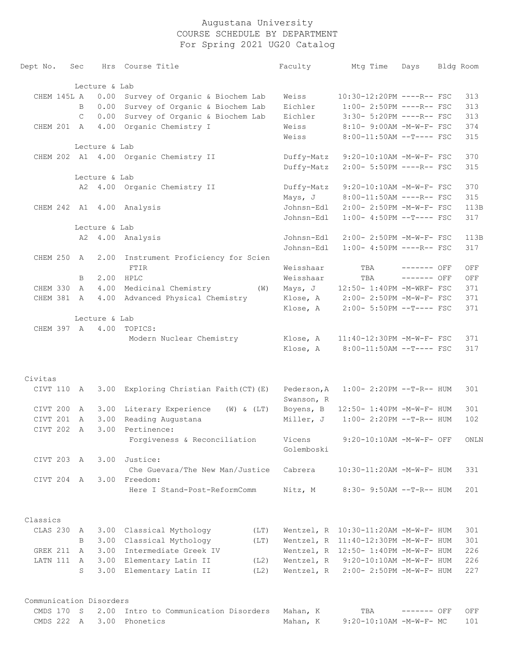| Dept No.                | Sec          |               | Hrs Course Title                      |      | Faculty     | Mtq Time                                 | Days         | Bldg Room |
|-------------------------|--------------|---------------|---------------------------------------|------|-------------|------------------------------------------|--------------|-----------|
|                         |              | Lecture & Lab |                                       |      |             |                                          |              |           |
| CHEM 145L A             |              | 0.00          | Survey of Organic & Biochem Lab       |      | Weiss       | 10:30-12:20PM ----R-- FSC                |              | 313       |
|                         | B            | 0.00          | Survey of Organic & Biochem Lab       |      | Eichler     | $1:00-2:50PM$ ----R-- FSC                |              | 313       |
|                         | $\mathsf{C}$ | 0.00          | Survey of Organic & Biochem Lab       |      | Eichler     | 3:30- 5:20PM ----R-- FSC                 |              | 313       |
| CHEM 201 A              |              | 4.00          | Organic Chemistry I                   |      | Weiss       | 8:10- 9:00AM -M-W-F- FSC                 |              | 374       |
|                         |              |               |                                       |      | Weiss       | 8:00-11:50AM --T---- FSC                 |              | 315       |
|                         |              | Lecture & Lab |                                       |      |             |                                          |              |           |
|                         |              |               | CHEM 202 A1 4.00 Organic Chemistry II |      | Duffy-Matz  | 9:20-10:10AM -M-W-F- FSC                 |              | 370       |
|                         |              |               |                                       |      | Duffy-Matz  | 2:00- 5:50PM ----R-- FSC                 |              | 315       |
|                         |              | Lecture & Lab |                                       |      |             |                                          |              |           |
|                         |              |               | A2 4.00 Organic Chemistry II          |      | Duffy-Matz  | $9:20-10:10AM$ -M-W-F- FSC               |              | 370       |
|                         |              |               |                                       |      | Mays, J     | 8:00-11:50AM ----R-- FSC                 |              | 315       |
|                         |              |               | CHEM 242 A1 4.00 Analysis             |      | Johnsn-Edl  | 2:00- 2:50PM -M-W-F- FSC                 |              | 113B      |
|                         |              |               |                                       |      | Johnsn-Edl  | $1:00-4:50PM --T---FSC$                  |              | 317       |
|                         |              | Lecture & Lab |                                       |      |             |                                          |              |           |
|                         |              |               | A2 4.00 Analysis                      |      | Johnsn-Edl  | 2:00- 2:50PM -M-W-F- FSC                 |              | 113B      |
|                         |              |               |                                       |      | Johnsn-Edl  | $1:00-4:50PM$ ----R-- FSC                |              | 317       |
| CHEM 250 A              |              | 2.00          | Instrument Proficiency for Scien      |      |             |                                          |              |           |
|                         |              |               | <b>FTIR</b>                           |      | Weisshaar   | TBA                                      | $------$ OFF | OFF       |
|                         | B            | 2.00          | HPLC                                  |      | Weisshaar   | TBA                                      | $------$ OFF | OFF       |
| CHEM 330                | A            | 4.00          | Medicinal Chemistry                   | (W)  | Mays, J     | 12:50- 1:40PM -M-WRF- FSC                |              | 371       |
| CHEM 381 A              |              | 4.00          | Advanced Physical Chemistry           |      | Klose, A    | 2:00- 2:50PM -M-W-F- FSC                 |              | 371       |
|                         |              |               |                                       |      | Klose, A    | 2:00- 5:50PM --T---- FSC                 |              | 371       |
|                         |              | Lecture & Lab |                                       |      |             |                                          |              |           |
|                         |              |               | CHEM 397 A 4.00 TOPICS:               |      |             |                                          |              |           |
|                         |              |               | Modern Nuclear Chemistry              |      | Klose, A    | 11:40-12:30PM -M-W-F- FSC                |              | 371       |
|                         |              |               |                                       |      | Klose, A    | $8:00-11:50AM$ --T---- FSC               |              | 317       |
|                         |              |               |                                       |      |             |                                          |              |           |
| Civitas                 |              |               |                                       |      |             |                                          |              |           |
| CIVT 110                | A            | 3.00          | Exploring Christian Faith (CT) (E)    |      | Pederson, A | $1:00-2:20PM -T-R--HUM$                  |              | 301       |
|                         |              |               |                                       |      | Swanson, R  |                                          |              |           |
| CIVT 200                | A            | 3.00          | Literary Experience (W) & (LT)        |      | Boyens, B   | 12:50- 1:40PM -M-W-F- HUM                |              | 301       |
| CIVT 201                | $\mathbb{A}$ | 3.00          | Reading Augustana                     |      | Miller, J   | $1:00-2:20PM -T-R--HUM$                  |              | 102       |
| CIVT 202                | A            | 3.00          | Pertinence:                           |      |             |                                          |              |           |
|                         |              |               | Forgiveness & Reconciliation          |      | Vicens      | $9:20-10:10AM - M-W-F-$ OFF              |              | ONLN      |
|                         |              |               | Justice:                              |      | Golemboski  |                                          |              |           |
| CIVT 203 A              |              | 3.00          |                                       |      |             |                                          |              |           |
|                         |              |               | Che Guevara/The New Man/Justice       |      | Cabrera     | 10:30-11:20AM -M-W-F- HUM                |              | 331       |
| CIVT 204 A              |              | 3.00          | Freedom:                              |      |             |                                          |              |           |
|                         |              |               | Here I Stand-Post-ReformComm          |      | Nitz, M     | $8:30 - 9:50AM -T-R-- HUM$               |              | 201       |
| Classics                |              |               |                                       |      |             |                                          |              |           |
| CLAS 230                | A            |               | 3.00 Classical Mythology              | (LT) |             | Wentzel, $R$ 10:30-11:20AM $-M-W-F-$ HUM |              | 301       |
|                         | B            |               | 3.00 Classical Mythology              | (LT) |             | Wentzel, R 11:40-12:30PM -M-W-F- HUM     |              | 301       |
| GREK 211                | A            | 3.00          | Intermediate Greek IV                 |      |             | Wentzel, R 12:50- 1:40PM -M-W-F- HUM     |              | 226       |
| LATN 111                | A            |               | 3.00 Elementary Latin II              | (L2) | Wentzel, R  | 9:20-10:10AM -M-W-F- HUM                 |              | 226       |
|                         | S            | 3.00          | Elementary Latin II                   | (L2) | Wentzel, R  | 2:00- 2:50PM -M-W-F- HUM                 |              | 227       |
|                         |              |               |                                       |      |             |                                          |              |           |
| Communication Disorders |              |               |                                       |      |             |                                          |              |           |
| CMDS 170 S              |              |               | 2.00 Intro to Communication Disorders |      | Mahan, K    | TBA                                      | ------- OFF  | OFF       |

CMDS 222 A 3.00 Phonetics Mahan, K 9:20-10:10AM -M-W-F- MC 101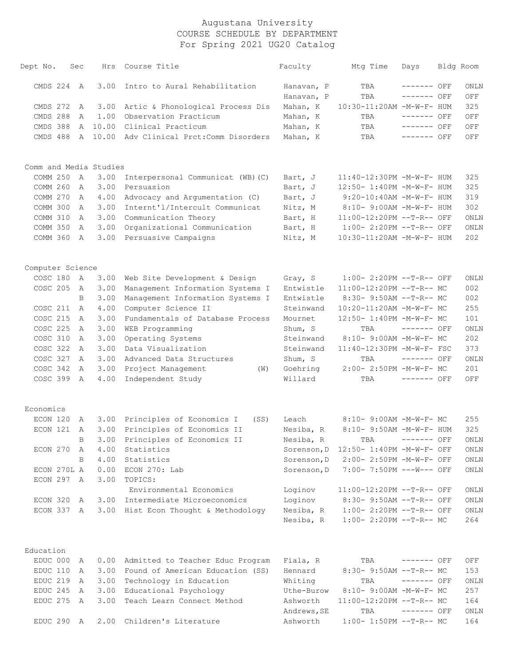| Dept No.               | Sec            | Hrs     | Course Title                           | Faculty     | Mtg Time                           | Days         | Bldg Room           |
|------------------------|----------------|---------|----------------------------------------|-------------|------------------------------------|--------------|---------------------|
| CMDS 224               | A              | 3.00    | Intro to Aural Rehabilitation          | Hanavan, P  | TBA                                | ------- OFF  | ONLN                |
|                        |                |         |                                        | Hanavan, P  | TBA                                | ------- OFF  | OFF                 |
| CMDS 272               | A              | 3.00    | Artic & Phonological Process Dis       | Mahan, K    | 10:30-11:20AM -M-W-F- HUM          |              | 325                 |
| CMDS 288               | A              | 1.00    | Observation Practicum                  | Mahan, K    | TBA                                | ------- OFF  | OFF                 |
| CMDS 388               | $\mathbb{A}$   | 10.00   | Clinical Practicum                     | Mahan, K    | TBA                                | ------- OFF  | OFF                 |
| CMDS 488               |                | A 10.00 | Adv Clinical Prct: Comm Disorders      | Mahan, K    | TBA                                | $------$ OFF | OFF                 |
|                        |                |         |                                        |             |                                    |              |                     |
| Comm and Media Studies |                |         |                                        |             |                                    |              |                     |
| COMM 250               | A              | 3.00    | Interpersonal Communicat (WB) (C)      | Bart, J     | 11:40-12:30PM -M-W-F- HUM          |              | 325                 |
| COMM 260               | A              | 3.00    | Persuasion                             | Bart, J     | 12:50- 1:40PM -M-W-F- HUM          |              | 325                 |
| COMM 270               | A              | 4.00    | Advocacy and Argumentation (C)         | Bart, J     | 9:20-10:40AM -M-W-F- HUM           |              | 319                 |
| COMM 300               | A              | 3.00    | Internt'l/Intercult Communicat         | Nitz, M     | 8:10- 9:00AM -M-W-F- HUM           |              | 302                 |
| COMM 310               | A              | 3.00    | Communication Theory                   | Bart, H     | 11:00-12:20PM --T-R-- OFF          |              | ONLN                |
| COMM 350               | A              | 3.00    | Organizational Communication           | Bart, H     | 1:00- 2:20PM --T-R-- OFF           |              | ONLN                |
| COMM 360               | A              | 3.00    | Persuasive Campaigns                   | Nitz, M     | 10:30-11:20AM -M-W-F- HUM          |              | 202                 |
|                        |                |         |                                        |             |                                    |              |                     |
| Computer Science       |                |         |                                        |             |                                    |              |                     |
| COSC 180               | A              | 3.00    | Web Site Development & Design          | Gray, S     | 1:00- 2:20PM --T-R-- OFF           |              | ONLN                |
| COSC 205               | A              | 3.00    | Management Information Systems I       | Entwistle   | 11:00-12:20PM --T-R-- MC           |              | 002                 |
|                        | B              | 3.00    | Management Information Systems I       | Entwistle   | 8:30- 9:50AM --T-R-- MC            |              | 002                 |
| COSC 211               | $\overline{A}$ | 4.00    | Computer Science II                    | Steinwand   | 10:20-11:20AM -M-W-F- MC           |              | 255                 |
| COSC 215               | A              | 3.00    | Fundamentals of Database Process       | Mournet     | 12:50- 1:40PM -M-W-F- MC           |              | 101                 |
| COSC 225               | A              | 3.00    | WEB Programming                        | Shum, S     | TBA                                | $------$ OFF | ONLN                |
| COSC 310               | A              | 3.00    | Operating Systems                      | Steinwand   | 8:10- 9:00AM -M-W-F- MC            |              | 202                 |
| COSC 322               | A              | 3.00    | Data Visualization                     | Steinwand   | 11:40-12:30PM -M-W-F- FSC          |              | 373                 |
| COSC 327               | A              | 3.00    | Advanced Data Structures               | Shum, S     | TBA                                | $------$ OFF | ONLN                |
| COSC 342               | A              | 3.00    | Project Management<br>(W)              | Goehring    | 2:00- 2:50PM -M-W-F- MC            |              | 201                 |
| COSC 399               | A              | 4.00    | Independent Study                      | Willard     | TBA                                | $------$ OFF | OFF                 |
|                        |                |         |                                        |             |                                    |              |                     |
| Economics              |                |         |                                        |             |                                    |              |                     |
| ECON 120               | A              |         | 3.00 Principles of Economics I<br>(SS) | Leach       | 8:10- 9:00AM -M-W-F- MC            |              | 255                 |
| ECON 121               | A              |         | 3.00 Principles of Economics II        | Nesiba, R   | 8:10- 9:50AM -M-W-F- HUM           |              | 325                 |
|                        | $\mathbf{B}$   |         | 3.00 Principles of Economics II        | Nesiba, R   | TBA ------- OFF                    |              | $\mathop{\rm ONLN}$ |
| ECON 270               | A              | 4.00    | Statistics                             | Sorenson, D | $12:50 - 1:40PM - M - W - F - OFF$ |              | ONLN                |
|                        | B              | 4.00    | Statistics                             | Sorenson, D | 2:00- 2:50PM -M-W-F- OFF           |              | ONLN                |
| ECON 270L A            |                | 0.00    | ECON 270: Lab                          | Sorenson, D | 7:00- 7:50PM ---W--- OFF           |              | ONLN                |
| ECON 297 A             |                | 3.00    | TOPICS:                                |             |                                    |              |                     |
|                        |                |         | Environmental Economics                | Loginov     | 11:00-12:20PM --T-R-- OFF          |              | ONLN                |
| ECON 320               | A              | 3.00    | Intermediate Microeconomics            | Loginov     | 8:30- 9:50AM --T-R-- OFF           |              | ONLN                |
| ECON 337 A             |                |         | 3.00 Hist Econ Thought & Methodology   | Nesiba, R   | $1:00-2:20PM -T-R--OFF$            |              | ONLN                |
|                        |                |         |                                        | Nesiba, R   | $1:00-2:20PM -T-R--MC$             |              | 264                 |
|                        |                |         |                                        |             |                                    |              |                     |
| Education              |                |         |                                        |             |                                    |              |                     |
| EDUC 000               | A              | 0.00    | Admitted to Teacher Educ Program       | Fiala, R    | TBA                                | ------- OFF  | OFF                 |
| EDUC 110               | A              | 3.00    | Found of American Education (SS)       | Hennard     | $8:30 - 9:50AM -T-R-- MC$          |              | 153                 |
| EDUC 219               | A              | 3.00    | Technology in Education                | Whiting     | TBA                                | $------$ OFF | ONLN                |
| EDUC 245               | A              | 3.00    | Educational Psychology                 | Uthe-Burow  | 8:10- 9:00AM -M-W-F- MC            |              | 257                 |
| EDUC 275               | A              | 3.00    | Teach Learn Connect Method             | Ashworth    | $11:00-12:20PM$ --T-R-- MC         |              | 164                 |
|                        |                |         |                                        | Andrews, SE | TBA                                | ------- OFF  | ONLN                |
| EDUC 290 A             |                |         | 2.00 Children's Literature             | Ashworth    | $1:00-1:50PM --T-R--MC$            |              | 164                 |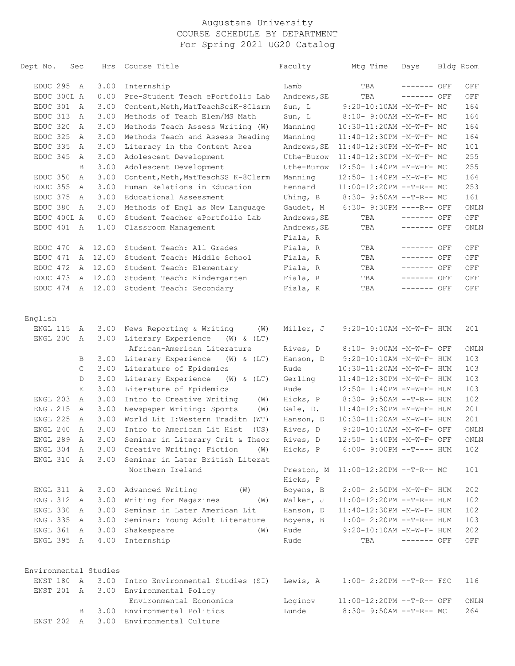| Dept No.   | Sec         |              | Hrs                   | Course Title                                     | Faculty     | Mtg Time                             | Days         | Bldg Room |
|------------|-------------|--------------|-----------------------|--------------------------------------------------|-------------|--------------------------------------|--------------|-----------|
|            | EDUC 295 A  |              | 3.00                  | Internship                                       | Lamb        | TBA                                  | ------- OFF  | OFF       |
|            | EDUC 300L A |              | 0.00                  | Pre-Student Teach ePortfolio Lab                 | Andrews, SE | TBA                                  | ------- OFF  | OFF       |
| EDUC 301   |             | A            | 3.00                  | Content, Meth, MatTeachSciK-8Clsrm               | Sun, L      | 9:20-10:10AM -M-W-F- MC              |              | 164       |
| EDUC 313   |             | A            | 3.00                  | Methods of Teach Elem/MS Math                    | Sun, L      | 8:10- 9:00AM -M-W-F- MC              |              | 164       |
| EDUC 320   |             | A            | 3.00                  | Methods Teach Assess Writing (W)                 | Manning     | 10:30-11:20AM -M-W-F- MC             |              | 164       |
| EDUC 325   |             | A            | 3.00                  | Methods Teach and Assess Reading                 | Manning     | 11:40-12:30PM -M-W-F- MC             |              | 164       |
| EDUC 335   |             | A            | 3.00                  | Literacy in the Content Area                     | Andrews, SE | 11:40-12:30PM -M-W-F- MC             |              | 101       |
| EDUC 345   |             | A            | 3.00                  | Adolescent Development                           | Uthe-Burow  | 11:40-12:30PM -M-W-F- MC             |              | 255       |
|            |             | B            | 3.00                  | Adolescent Development                           | Uthe-Burow  | 12:50- 1:40PM -M-W-F- MC             |              | 255       |
| EDUC 350   |             | A            | 3.00                  | Content, Meth, MatTeachSS K-8Clsrm               | Manning     | 12:50- 1:40PM -M-W-F- MC             |              | 164       |
| EDUC 355   |             | A            | 3.00                  | Human Relations in Education                     | Hennard     | 11:00-12:20PM --T-R-- MC             |              | 253       |
| EDUC 375   |             | A            | 3.00                  | Educational Assessment                           | Uhing, B    | 8:30- 9:50AM --T-R-- MC              |              | 161       |
| EDUC 380   |             | Α            | 3.00                  | Methods of Engl as New Language                  | Gaudet, M   | $6:30-9:30PM$ ----R-- OFF            |              | ONLN      |
|            | EDUC 400L A |              | 0.00                  | Student Teacher ePortfolio Lab                   | Andrews, SE | TBA                                  | $------$ OFF | OFF       |
| EDUC 401   |             | $\mathbb{A}$ | 1.00                  | Classroom Management                             | Andrews, SE | TBA                                  | ------- OFF  | ONLN      |
|            |             |              |                       |                                                  | Fiala, R    |                                      |              |           |
| EDUC 470   |             | Α            | 12.00                 | Student Teach: All Grades                        | Fiala, R    | TBA                                  | ------- OFF  | OFF       |
| EDUC 471   |             |              | A 12.00               | Student Teach: Middle School                     | Fiala, R    | TBA                                  | ------- OFF  | OFF       |
| EDUC 472   |             |              | A 12.00               | Student Teach: Elementary                        | Fiala, R    | TBA                                  | ------- OFF  | OFF       |
| EDUC 473   |             |              | A 12.00               | Student Teach: Kindergarten                      | Fiala, R    | TBA                                  | ------- OFF  | OFF       |
|            |             |              | EDUC 474 A 12.00      | Student Teach: Secondary                         | Fiala, R    | TBA                                  | ------- OFF  | OFF       |
| English    |             |              |                       |                                                  |             |                                      |              |           |
| ENGL 115   |             | A            | 3.00                  | News Reporting & Writing<br>(W)                  | Miller, J   | 9:20-10:10AM -M-W-F- HUM             |              | 201       |
| ENGL 200   |             | A            | 3.00                  | Literary Experience<br>$(W)$ & $(LT)$            |             |                                      |              |           |
|            |             |              |                       | African-American Literature                      | Rives, D    | 8:10- 9:00AM -M-W-F- OFF             |              | ONLN      |
|            |             | В            | 3.00                  | Literary Experience<br>$(W)$ & $(LT)$            | Hanson, D   | 9:20-10:10AM -M-W-F- HUM             |              | 103       |
|            |             | C            | 3.00                  | Literature of Epidemics                          | Rude        | 10:30-11:20AM -M-W-F- HUM            |              | 103       |
|            |             | D            | 3.00                  | Literary Experience<br>$(W)$ & $(LT)$            | Gerling     | 11:40-12:30PM -M-W-F- HUM            |              | 103       |
|            |             | Е            | 3.00                  | Literature of Epidemics                          | Rude        | 12:50- 1:40PM -M-W-F- HUM            |              | 103       |
| ENGL 203   |             | A            | 3.00                  | Intro to Creative Writing<br>(W)                 | Hicks, P    | 8:30- 9:50AM --T-R-- HUM             |              | 102       |
| ENGL 215   |             | A            | 3.00                  | Newspaper Writing: Sports<br>(W)                 | Gale, D.    | 11:40-12:30PM -M-W-F- HUM            |              | 201       |
| ENGL 225   |             | A            | 3.00                  | World Lit I: Western Traditn (WT)                | Hanson, D   | 10:30-11:20AM -M-W-F- HUM            |              | 201       |
| ENGL 240   |             | Α            | 3.00                  | Intro to American Lit Hist<br>(US)               | Rives, D    | 9:20-10:10AM -M-W-F- OFF             |              | ONLN      |
| ENGL 289   |             | A            | 3.00                  | Seminar in Literary Crit & Theor                 | Rives, D    | 12:50- 1:40PM -M-W-F- OFF            |              | ONLN      |
|            | ENGL 304 A  |              |                       | 3.00 Creative Writing: Fiction (W)               |             | Hicks, P 6:00- 9:00PM --T---- HUM    |              | 102       |
| ENGL 310 A |             |              |                       | 3.00 Seminar in Later British Literat            |             |                                      |              |           |
|            |             |              |                       | Northern Ireland                                 | Hicks, P    | Preston, M 11:00-12:20PM --T-R-- MC  |              | 101       |
| ENGL 311 A |             |              |                       | 3.00 Advanced Writing<br>$(\mathbb{W})$          |             | Boyens, B 2:00-2:50PM -M-W-F- HUM    |              | 202       |
| ENGL 312 A |             |              |                       | 3.00 Writing for Magazines (W)                   | Walker, J   | 11:00-12:20PM --T-R-- HUM            |              | 102       |
| ENGL 330 A |             |              | 3.00                  | Seminar in Later American Lit                    | Hanson, D   | 11:40-12:30PM -M-W-F- HUM            |              | 102       |
| ENGL 335 A |             |              |                       | 3.00 Seminar: Young Adult Literature             | Boyens, B   | $1:00-2:20PM -T-R--HUM$              |              | 103       |
| ENGL 361 A |             |              |                       | 3.00 Shakespeare<br>(W)                          | Rude        | $9:20-10:10AM - M-W-F- HUM$          |              | 202       |
| ENGL 395 A |             |              |                       | 4.00 Internship                                  | Rude        | TBA                                  | ------- OFF  | OFF       |
|            |             |              | Environmental Studies |                                                  |             |                                      |              |           |
|            |             |              |                       | ENST 180 A 3.00 Intro Environmental Studies (SI) |             | Lewis, A 1:00- 2:20PM --T-R-- FSC    |              | 116       |
|            |             |              |                       | ENST 201 A 3.00 Environmental Policy             |             |                                      |              |           |
|            |             |              |                       | Environmental Economics                          |             | Loginov    11:00-12:20PM --T-R-- OFF |              | ONLN      |
|            |             | B            |                       | 3.00 Environmental Politics                      | Lunde       | 8:30- 9:50AM --T-R-- MC              |              | 264       |
|            |             |              |                       | ENST 202 A 3.00 Environmental Culture            |             |                                      |              |           |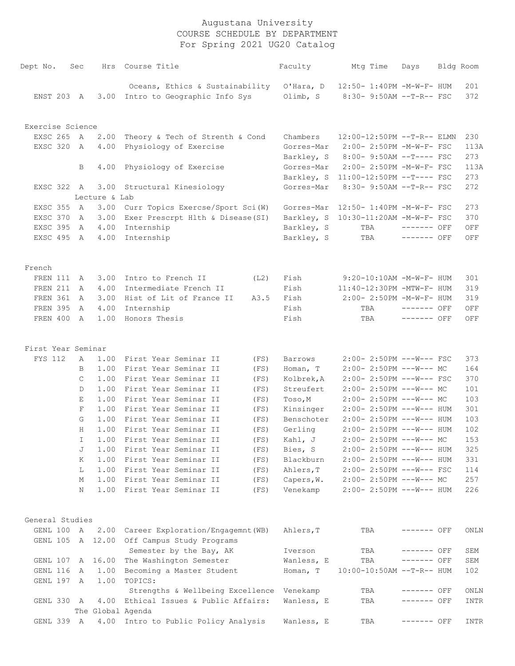| Dept No.           | Sec         |               | Hrs Course Title                                                     |      | Faculty    | Mtg Time                         | Days         | Bldg Room  |
|--------------------|-------------|---------------|----------------------------------------------------------------------|------|------------|----------------------------------|--------------|------------|
| ENST 203 A         |             |               | Oceans, Ethics & Sustainability<br>3.00 Intro to Geographic Info Sys |      |            | Olimb, S 8:30-9:50AM --T-R-- FSC |              | 201<br>372 |
|                    |             |               |                                                                      |      |            |                                  |              |            |
| Exercise Science   |             |               |                                                                      |      |            |                                  |              |            |
| EXSC 265           | A           | 2.00          | Theory & Tech of Strenth & Cond                                      |      | Chambers   | $12:00-12:50PM -T-R--ELMN$       |              | 230        |
| EXSC 320           | A           | 4.00          | Physiology of Exercise                                               |      | Gorres-Mar | 2:00- 2:50PM -M-W-F- FSC         |              | 113A       |
|                    |             |               |                                                                      |      | Barkley, S | $8:00-9:50AM --T---FSC$          |              | 273        |
|                    | B           | 4.00          | Physiology of Exercise                                               |      | Gorres-Mar | 2:00- 2:50PM -M-W-F- FSC         |              | 113A       |
|                    |             |               |                                                                      |      | Barkley, S | $11:00-12:50PM$ --T---- FSC      |              | 273        |
| EXSC 322 A         |             | 3.00          | Structural Kinesiology                                               |      | Gorres-Mar | 8:30- 9:50AM --T-R-- FSC         |              | 272        |
|                    |             | Lecture & Lab |                                                                      |      |            |                                  |              |            |
| EXSC 355           | A           | 3.00          | Curr Topics Exercse/Sport Sci(W)                                     |      | Gorres-Mar | 12:50- 1:40PM -M-W-F- FSC        |              | 273        |
| EXSC 370           | A           | 3.00          | Exer Prescrpt Hlth & Disease (SI)                                    |      | Barkley, S | 10:30-11:20AM -M-W-F- FSC        |              | 370        |
| EXSC 395           | A           | 4.00          | Internship                                                           |      | Barkley, S | TBA                              | $------$ OFF | OFF        |
| EXSC 495 A         |             | 4.00          | Internship                                                           |      | Barkley, S | TBA                              | ------- OFF  | OFF        |
| French             |             |               |                                                                      |      |            |                                  |              |            |
| FREN 111           | A           | 3.00          | Intro to French II                                                   | (L2) | Fish       | $9:20-10:10AM - M-W-F- HUM$      |              | 301        |
| FREN 211           | A           | 4.00          | Intermediate French II                                               |      | Fish       | 11:40-12:30PM -MTW-F- HUM        |              | 319        |
| FREN 361           | A           | 3.00          | Hist of Lit of France II                                             | A3.5 | Fish       | 2:00- 2:50PM -M-W-F- HUM         |              | 319        |
| FREN 395           | A           | 4.00          | Internship                                                           |      | Fish       | TBA                              | $------$ OFF | OFF        |
| FREN 400           | A           | 1.00          | Honors Thesis                                                        |      | Fish       | TBA                              | $------$ OFF | OFF        |
|                    |             |               |                                                                      |      |            |                                  |              |            |
| First Year Seminar |             |               |                                                                      |      |            |                                  |              |            |
| FYS 112            | A           | 1.00          | First Year Seminar II                                                | (FS) | Barrows    | $2:00-2:50PM$ ---W--- FSC        |              | 373        |
|                    | B           | 1.00          | First Year Seminar II                                                | (FS) | Homan, T   | $2:00-2:50PM$ ---W--- MC         |              | 164        |
|                    | C           | 1.00          | First Year Seminar II                                                | (FS) | Kolbrek, A | $2:00-2:50PM$ ---W--- FSC        |              | 370        |
|                    | D           | 1.00          | First Year Seminar II                                                | (FS) | Streufert  | $2:00-2:50PM$ ---W--- MC         |              | 101        |
|                    | Ε           | 1.00          | First Year Seminar II                                                | (FS) | Toso, M    | $2:00-2:50PM$ ---W--- MC         |              | 103        |
|                    | $\mathbf F$ | 1.00          | First Year Seminar II                                                | (FS) | Kinsinger  | $2:00-2:50PM$ ---W--- HUM        |              | 301        |
|                    | G           | 1.00          | First Year Seminar II                                                | (FS) | Benschoter | $2:00-2:50PM$ ---W--- HUM        |              | 103        |
|                    | Н           | 1.00          | First Year Seminar II                                                | (FS) | Gerling    | 2:00- 2:50PM ---W--- HUM         |              | 102        |
|                    | I           | 1.00          | First Year Seminar II                                                | (FS) | Kahl, J    | $2:00-2:50PM$ ---W--- MC         |              | 153        |
|                    | J           | 1.00          | First Year Seminar II                                                | (FS) | Bies, S    | 2:00- 2:50PM ---W--- HUM         |              | 325        |
|                    | Κ           | 1.00          | First Year Seminar II                                                | (FS) | Blackburn  | 2:00- 2:50PM ---W--- HUM         |              | 331        |
|                    | L           | 1.00          | First Year Seminar II                                                | (FS) | Ahlers, T  | 2:00- 2:50PM ---W--- FSC         |              | 114        |
|                    | М           | 1.00          | First Year Seminar II                                                | (FS) | Capers, W. | $2:00-2:50PM$ ---W--- MC         |              | 257        |
|                    | Ν           | 1.00          | First Year Seminar II                                                | (FS) | Venekamp   | 2:00- 2:50PM ---W--- HUM         |              | 226        |
| General Studies    |             |               |                                                                      |      |            |                                  |              |            |
| GENL 100           | A           | 2.00          | Career Exploration/Engagemnt (WB)                                    |      | Ahlers, T  | TBA                              | ------- OFF  | ONLN       |
| GENL 105           |             | A 12.00       | Off Campus Study Programs                                            |      |            |                                  |              |            |
|                    |             |               | Semester by the Bay, AK                                              |      | Iverson    | TBA                              | ------- OFF  | SEM        |
| GENL 107           | A           | 16.00         | The Washington Semester                                              |      | Wanless, E | TBA                              | ------- OFF  | SEM        |
| GENL 116           | A           | 1.00          | Becoming a Master Student                                            |      | Homan, T   | 10:00-10:50AM --T-R-- HUM        |              | 102        |
| GENL 197           | A           | 1.00          | TOPICS:                                                              |      |            |                                  |              |            |
|                    |             |               |                                                                      |      |            |                                  |              |            |
|                    |             |               | Strengths & Wellbeing Excellence<br>Ethical Issues & Public Affairs: |      | Venekamp   | TBA                              | ------- OFF  | ONLN       |
| GENL 330           | A           | 4.00          |                                                                      |      | Wanless, E | TBA                              | ------- OFF  | INTR       |
|                    |             |               | The Global Agenda                                                    |      |            |                                  |              |            |
| GENL 339           | A           | 4.00          | Intro to Public Policy Analysis                                      |      | Wanless, E | TBA                              | ------- OFF  | INTR       |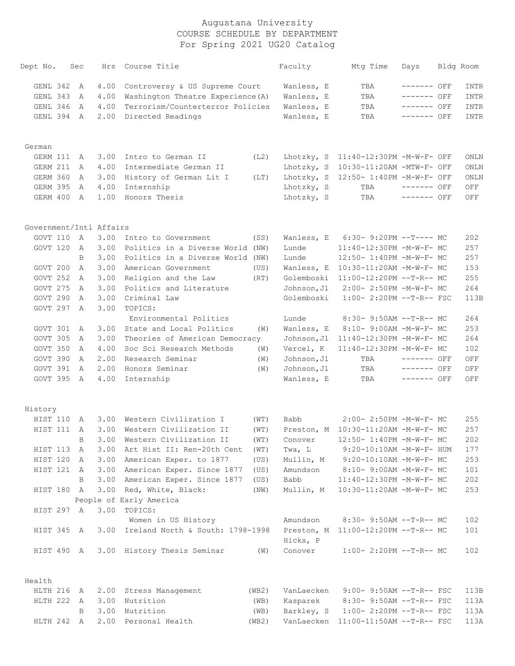| Dept No.                | Sec | Hrs  | Course Title                          |       | Faculty     | Mtg Time                             | Days         | Bldg Room |
|-------------------------|-----|------|---------------------------------------|-------|-------------|--------------------------------------|--------------|-----------|
| GENL 342                | A   | 4.00 | Controversy & US Supreme Court        |       | Wanless, E  | TBA                                  | ------- OFF  | INTR      |
| GENL 343                | A   | 4.00 | Washington Theatre Experience (A)     |       | Wanless, E  | TBA                                  | ------- OFF  | INTR      |
| GENL 346                | A   | 4.00 | Terrorism/Counterterror Policies      |       | Wanless, E  | TBA                                  | ------- OFF  | INTR      |
| GENL 394                | A   | 2.00 | Directed Readings                     |       | Wanless, E  | TBA                                  | ------- OFF  | INTR      |
| German                  |     |      |                                       |       |             |                                      |              |           |
| GERM 111                | A   | 3.00 | Intro to German II                    | (L2)  | Lhotzky, S  | 11:40-12:30PM -M-W-F- OFF            |              | ONLN      |
| GERM 211                | A   | 4.00 | Intermediate German II                |       | Lhotzky, S  | 10:30-11:20AM -MTW-F- OFF            |              | ONLN      |
| GERM 360                | A   | 3.00 | History of German Lit I               | (LT)  | Lhotzky, S  | 12:50- 1:40PM -M-W-F- OFF            |              | ONLN      |
| GERM 395                | A   | 4.00 | Internship                            |       | Lhotzky, S  | TBA                                  | ------- OFF  | OFF       |
| GERM 400                | A   | 1.00 | Honors Thesis                         |       | Lhotzky, S  | TBA                                  | ------- OFF  | OFF       |
| Government/Intl Affairs |     |      |                                       |       |             |                                      |              |           |
| GOVT 110                | A   | 3.00 | Intro to Government                   | (SS)  | Wanless, E  | $6:30-9:20PM --T---MC$               |              | 202       |
| GOVT 120                | A   | 3.00 | Politics in a Diverse World (NW)      |       | Lunde       | 11:40-12:30PM -M-W-F- MC             |              | 257       |
|                         | B   | 3.00 | Politics in a Diverse World (NW)      |       | Lunde       | 12:50- 1:40PM -M-W-F- MC             |              | 257       |
| GOVT 200                | A   | 3.00 | American Government                   | (US)  | Wanless, E  | 10:30-11:20AM -M-W-F- MC             |              | 153       |
| GOVT 252                | A   | 3.00 | Religion and the Law                  | (RT)  | Golemboski  | 11:00-12:20PM --T-R-- MC             |              | 255       |
| GOVT 275                | A   | 3.00 | Politics and Literature               |       | Johnson, Jl | 2:00- 2:50PM -M-W-F- MC              |              | 264       |
| GOVT 290                | A   | 3.00 | Criminal Law                          |       | Golemboski  | 1:00- 2:20PM --T-R-- FSC             |              | 113B      |
| GOVT 297                | A   | 3.00 | TOPICS:<br>Environmental Politics     |       | Lunde       | $8:30 - 9:50AM -T-R-- MC$            |              | 264       |
| GOVT 301                | A   | 3.00 | State and Local Politics              | (W)   | Wanless, E  | 8:10- 9:00AM -M-W-F- MC              |              | 253       |
| GOVT 305                | A   | 3.00 | Theories of American Democracy        |       | Johnson, Jl | 11:40-12:30PM -M-W-F- MC             |              | 264       |
| GOVT 350                | A   | 4.00 | Soc Sci Research Methods              | (W)   | Vercel, K   | 11:40-12:30PM -M-W-F- MC             |              | 102       |
| GOVT 390                | A   | 2.00 | Research Seminar                      | (W)   | Johnson, Jl | TBA                                  | ------- OFF  | OFF       |
| GOVT 391                | A   | 2.00 | Honors Seminar                        | (W)   | Johnson, Jl | TBA                                  | ------- OFF  | OFF       |
| GOVT 395                | A   | 4.00 | Internship                            |       | Wanless, E  | TBA                                  | $------$ OFF | OFF       |
| History                 |     |      |                                       |       |             |                                      |              |           |
| HIST 110                | Α   | 3.00 | Western Civilization I                | (WT)  | Babb        | 2:00- 2:50PM -M-W-F- MC              |              | 255       |
| HIST 111                | A   | 3.00 | Western Civilization II               | (WT)  |             | Preston, M 10:30-11:20AM -M-W-F- MC  |              | 257       |
|                         | B   |      | 3.00 Western Civilization II          | (WT)  | Conover     | 12:50- 1:40PM -M-W-F- MC             |              | 202       |
| HIST 113                | A   | 3.00 | Art Hist II: Ren-20th Cent            | (WT)  | Twa, L      | $9:20-10:10AM - M-W-F- HUM$          |              | 177       |
| HIST 120 A              |     |      | 3.00 American Exper. to 1877          | (US)  |             | Mullin, M 9:20-10:10AM -M-W-F- MC    |              | 253       |
| HIST 121 A              |     |      | 3.00 American Exper. Since 1877       | (US)  | Amundson    | 8:10- 9:00AM -M-W-F- MC              |              | 101       |
|                         | B   |      | 3.00 American Exper. Since 1877       | (US)  | Babb        | 11:40-12:30PM -M-W-F- MC             |              | 202       |
| HIST 180 A              |     |      | 3.00 Red, White, Black:               | (NW)  | Mullin, M   | 10:30-11:20AM -M-W-F- MC             |              | 253       |
|                         |     |      | People of Early America               |       |             |                                      |              |           |
| HIST 297 A              |     | 3.00 | TOPICS:                               |       |             |                                      |              |           |
|                         |     |      | Women in US History                   |       | Amundson    | $8:30-9:50AM --T-R--MC$              |              | 102       |
| HIST 345 A              |     |      | 3.00 Ireland North & South: 1798-1998 |       |             | Preston, M 11:00-12:20PM --T-R-- MC  |              | 101       |
|                         |     |      |                                       |       | Hicks, P    |                                      |              |           |
| HIST 490 A              |     |      | 3.00 History Thesis Seminar           | (W)   | Conover     | $1:00-2:20PM -T-R--MC$               |              | 102       |
| Health                  |     |      |                                       |       |             |                                      |              |           |
| HLTH 216 A              |     |      | 2.00 Stress Management                | (WB2) | VanLaecken  | $9:00-9:50AM --T-R--FSC$             |              | 113B      |
| HLTH 222 A              |     |      | 3.00 Nutrition                        | (WB)  | Kasparek    | 8:30- 9:50AM --T-R-- FSC             |              | 113A      |
|                         | B   | 3.00 | Nutrition                             | (WB)  | Barkley, S  | $1:00-2:20PM -T-R--FSC$              |              | 113A      |
| HLTH 242 A              |     |      | 2.00 Personal Health                  | (WB2) |             | VanLaecken 11:00-11:50AM --T-R-- FSC |              | 113A      |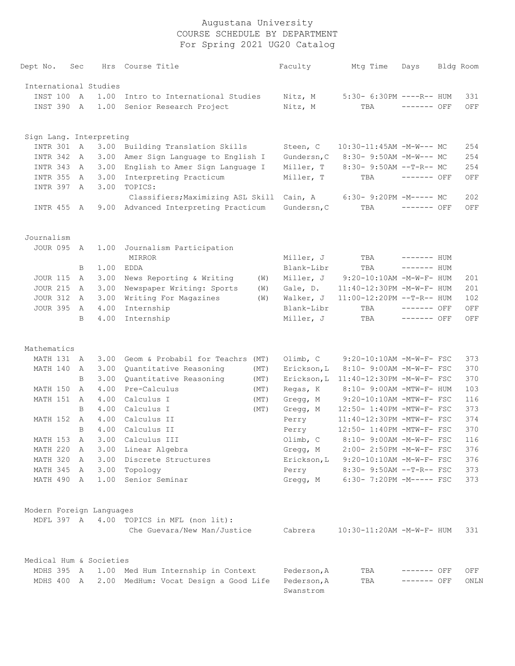| Dept No.                 | Sec          | Hrs  | Course Title                                 |      | Faculty                  | Mtq Time                   | Days         | Bldg Room |
|--------------------------|--------------|------|----------------------------------------------|------|--------------------------|----------------------------|--------------|-----------|
| International Studies    |              |      |                                              |      |                          |                            |              |           |
| INST 100                 | A            | 1.00 | Intro to International Studies               |      | Nitz, M                  | $5:30-6:30PM$ ----R-- HUM  |              | 331       |
| INST 390                 | A            | 1.00 | Senior Research Project                      |      | Nitz, M                  | TBA                        | $------$ OFF | OFF       |
| Sign Lang. Interpreting  |              |      |                                              |      |                          |                            |              |           |
| INTR 301                 | $\mathbb{A}$ | 3.00 | Building Translation Skills                  |      | Steen, C                 | $10:30-11:45AM$ -M-W--- MC |              | 254       |
| INTR 342                 | A            | 3.00 | Amer Sign Language to English I              |      | Gundersn, C              | 8:30- 9:50AM -M-W--- MC    |              | 254       |
| INTR 343                 | A            | 3.00 | English to Amer Sign Language I              |      | Miller, T                | $8:30 - 9:50AM -T-R-- MC$  |              | 254       |
| INTR 355                 | A            | 3.00 | Interpreting Practicum                       |      | Miller, T                | TBA                        | ------- OFF  | OFF       |
| INTR 397                 | A            | 3.00 | TOPICS:<br>Classifiers; Maximizing ASL Skill |      | Cain, A                  | 6:30- 9:20PM -M----- MC    |              | 202       |
| INTR 455 A               |              | 9.00 | Advanced Interpreting Practicum              |      | Gundersn, C              | TBA                        | ------- OFF  | OFF       |
| Journalism               |              |      |                                              |      |                          |                            |              |           |
| JOUR 095 A               |              | 1.00 | Journalism Participation                     |      |                          |                            |              |           |
|                          |              |      | MIRROR                                       |      | Miller, J                | TBA                        | $------$ HUM |           |
|                          | B            | 1.00 | EDDA                                         |      | Blank-Libr               | TBA                        | $------$ HUM |           |
| <b>JOUR 115</b>          | Α            | 3.00 | News Reporting & Writing                     | (W)  | Miller, J                | 9:20-10:10AM -M-W-F- HUM   |              | 201       |
| <b>JOUR 215</b>          | Α            | 3.00 | Newspaper Writing: Sports                    | (W)  | Gale, D.                 | 11:40-12:30PM -M-W-F- HUM  |              | 201       |
| <b>JOUR 312</b>          | $\mathsf{A}$ | 3.00 | Writing For Magazines                        | (W)  | Walker, J                | 11:00-12:20PM --T-R-- HUM  |              | 102       |
| <b>JOUR 395</b>          | A            | 4.00 | Internship                                   |      | Blank-Libr               | TBA                        | $------$ OFF | OFF       |
|                          | B            | 4.00 | Internship                                   |      | Miller, J                | TBA                        | $------$ OFF | OFF       |
| Mathematics              |              |      |                                              |      |                          |                            |              |           |
| MATH 131                 | A            | 3.00 | Geom & Probabil for Teachrs                  | (MT) | Olimb, $C$               | 9:20-10:10AM -M-W-F- FSC   |              | 373       |
| MATH 140                 | Α            | 3.00 | Quantitative Reasoning                       | (MT) | Erickson, L              | 8:10- 9:00AM -M-W-F- FSC   |              | 370       |
|                          | B            | 3.00 | Quantitative Reasoning                       | (MT) | Erickson, L              | 11:40-12:30PM -M-W-F- FSC  |              | 370       |
| MATH 150                 | $\mathsf{A}$ | 4.00 | Pre-Calculus                                 | (MT) | Regas, K                 | 8:10- 9:00AM -MTW-F- HUM   |              | 103       |
| MATH 151                 | Α            | 4.00 | Calculus I                                   | (MT) | Gregg, M                 | 9:20-10:10AM -MTW-F- FSC   |              | 116       |
|                          | B            | 4.00 | Calculus I                                   | (MT) | Gregg, M                 | 12:50- 1:40PM -MTW-F- FSC  |              | 373       |
| <b>MATH 152</b>          | Α            | 4.00 | Calculus II                                  |      | Perry                    | 11:40-12:30PM -MTW-F- FSC  |              | 374       |
|                          | B            | 4.00 | Calculus II                                  |      | Perry                    | 12:50- 1:40PM -MTW-F- FSC  |              | 370       |
| MATH 153                 | Α            | 3.00 | Calculus III                                 |      | Olimb, C                 | 8:10- 9:00AM -M-W-F- FSC   |              | 116       |
| MATH 220                 | Α            | 3.00 | Linear Algebra                               |      | Gregg, M                 | 2:00- 2:50PM -M-W-F- FSC   |              | 376       |
| MATH 320                 | A            | 3.00 | Discrete Structures                          |      | Erickson, L              | $9:20-10:10AM$ -M-W-F- FSC |              | 376       |
| MATH 345                 | A            | 3.00 | Topology                                     |      | Perry                    | 8:30- 9:50AM --T-R-- FSC   |              | 373       |
| MATH 490                 | A            | 1.00 | Senior Seminar                               |      | Gregg, M                 | $6:30 - 7:20PM - M--- FSC$ |              | 373       |
| Modern Foreign Languages |              |      |                                              |      |                          |                            |              |           |
|                          |              |      | MDFL 397 A 4.00 TOPICS in MFL (non lit):     |      |                          |                            |              |           |
|                          |              |      | Che Guevara/New Man/Justice                  |      | Cabrera                  | 10:30-11:20AM -M-W-F- HUM  |              | 331       |
| Medical Hum & Societies  |              |      |                                              |      |                          |                            |              |           |
| MDHS 395 A               |              |      | 1.00 Med Hum Internship in Context           |      | Pederson, A              | TBA                        | ------- OFF  | OFF       |
| MDHS 400 A               |              |      | 2.00 MedHum: Vocat Design a Good Life        |      | Pederson, A<br>Swanstrom | TBA                        | ------- OFF  | ONLN      |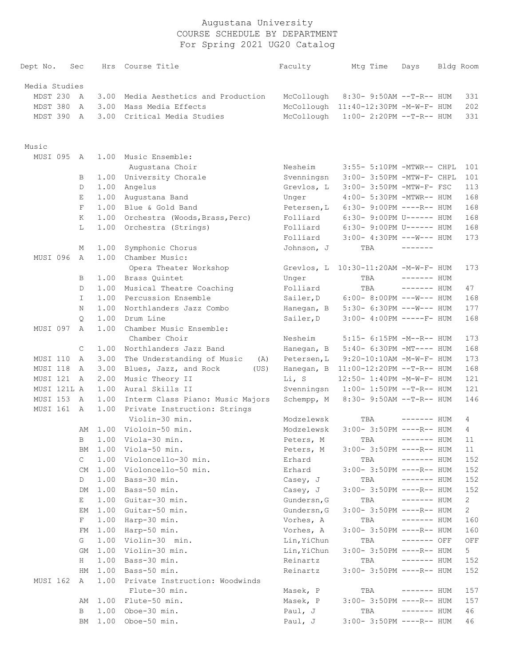| Dept No.          | Sec |              |      | Hrs Course Title                  | Faculty     | Mtg Time                             | Days         | Bldg Room      |
|-------------------|-----|--------------|------|-----------------------------------|-------------|--------------------------------------|--------------|----------------|
| Media Studies     |     |              |      |                                   |             |                                      |              |                |
| MDST 230          |     | A            | 3.00 | Media Aesthetics and Production   | McCollough  | 8:30- 9:50AM --T-R-- HUM             |              | 331            |
| MDST 380          |     | A            | 3.00 | Mass Media Effects                |             | McCollough 11:40-12:30PM -M-W-F- HUM |              | 202            |
| MDST 390          |     | A            | 3.00 | Critical Media Studies            | McCollough  | $1:00-2:20PM -T-R--HUM$              |              | 331            |
|                   |     |              |      |                                   |             |                                      |              |                |
| Music<br>MUSI 095 |     | A            | 1.00 | Music Ensemble:                   |             |                                      |              |                |
|                   |     |              |      | Augustana Choir                   | Nesheim     | 3:55- 5:10PM -MTWR-- CHPL            |              | 101            |
|                   |     | B            | 1.00 | University Chorale                | Svenningsn  | 3:00- 3:50PM -MTW-F- CHPL            |              | 101            |
|                   |     | D            | 1.00 | Angelus                           | Grevlos, L  | 3:00- 3:50PM -MTW-F- FSC             |              | 113            |
|                   |     | Е            | 1.00 | Augustana Band                    | Unger       | 4:00- 5:30PM -MTWR-- HUM             |              | 168            |
|                   |     | F            | 1.00 | Blue & Gold Band                  | Petersen, L | $6:30-9:00PM$ ----R-- HUM            |              | 168            |
|                   |     | Κ            | 1.00 | Orchestra (Woods, Brass, Perc)    | Folliard    | 6:30- 9:00PM U------ HUM             |              | 168            |
|                   |     | L            | 1.00 | Orchestra (Strings)               | Folliard    | 6:30- 9:00PM U------ HUM             |              | 168            |
|                   |     |              |      |                                   | Folliard    | $3:00-4:30PM$ ---W--- HUM            |              | 173            |
|                   |     | Μ            | 1.00 | Symphonic Chorus                  | Johnson, J  | TBA                                  | -------      |                |
| MUSI 096          |     | $\mathbb{A}$ | 1.00 | Chamber Music:                    |             |                                      |              |                |
|                   |     |              |      | Opera Theater Workshop            | Grevlos, L  | 10:30-11:20AM -M-W-F- HUM            |              | 173            |
|                   |     | B            | 1.00 | Brass Quintet                     | Unger       | TBA                                  | $------$ HUM |                |
|                   |     | D            | 1.00 | Musical Theatre Coaching          | Folliard    | TBA                                  | $------$ HUM | 47             |
|                   |     | I.           | 1.00 | Percussion Ensemble               | Sailer, D   | $6:00-8:00PM$ ---W--- HUM            |              | 168            |
|                   |     | N            | 1.00 | Northlanders Jazz Combo           | Hanegan, B  | $5:30-6:30PM$ ---W--- HUM            |              | 177            |
|                   |     | $\circ$      | 1.00 | Drum Line                         | Sailer, D   | $3:00-4:00PM$ -----F- HUM            |              | 168            |
| MUSI 097          |     | Α            | 1.00 | Chamber Music Ensemble:           |             |                                      |              |                |
|                   |     |              |      | Chamber Choir                     | Nesheim     | 5:15- 6:15PM -M--R-- HUM             |              | 173            |
|                   |     | C            | 1.00 | Northlanders Jazz Band            | Hanegan, B  | 5:40- 6:30PM -MT---- HUM             |              | 168            |
| MUSI 110          |     | $\mathbb{A}$ | 3.00 | The Understanding of Music<br>(A) | Petersen, L | $9:20-10:10AM - M-W-F- HUM$          |              | 173            |
| MUSI 118          |     | A            | 3.00 | Blues, Jazz, and Rock<br>(US)     | Hanegan, B  | $11:00-12:20PM$ --T-R-- HUM          |              | 168            |
| MUSI 121          |     | $\mathbb{A}$ | 2.00 | Music Theory II                   | Li, S       | 12:50- 1:40PM -M-W-F- HUM            |              | 121            |
| MUSI 121L A       |     |              | 1.00 | Aural Skills II                   | Svenningsn  | $1:00-1:50PM -T-R--HUM$              |              | 121            |
| MUSI 153          |     | A            | 1.00 | Interm Class Piano: Music Majors  | Schempp, M  | 8:30- 9:50AM --T-R-- HUM             |              | 146            |
| MUSI 161          |     | A            | 1.00 | Private Instruction: Strings      |             |                                      |              |                |
|                   |     |              |      | Violin-30 min.                    | Modzelewsk  | TBA                                  | ------- HUM  | 4              |
|                   |     | AΜ           |      | 1.00 Violoin-50 min.              | Modzelewsk  | 3:00- 3:50PM ----R-- HUM             |              | 4              |
|                   |     |              |      | B 1.00 Viola-30 min.              | Peters, M   |                                      |              | 11             |
|                   |     | ΒM           | 1.00 | Viola-50 min.                     | Peters, M   | $3:00-3:50PM$ ----R-- HUM            |              | 11             |
|                   |     | C            | 1.00 | Violoncello-30 min.               | Erhard      | TBA                                  | ------- HUM  | 152            |
|                   |     | CM           | 1.00 | Violoncello-50 min.               | Erhard      | 3:00- 3:50PM ----R-- HUM             |              | 152            |
|                   |     | D            | 1.00 | Bass-30 min.                      | Casey, J    | TBA                                  | $------$ HUM | 152            |
|                   |     | DM           | 1.00 | Bass-50 min.                      | Casey, J    | 3:00- 3:50PM ----R-- HUM             |              | 152            |
|                   |     | Е            | 1.00 | Guitar-30 min.                    | Gundersn, G | TBA                                  | ------- HUM  | $\mathbf{2}$   |
|                   |     | EМ           | 1.00 | Guitar-50 min.                    | Gundersn, G | 3:00- 3:50PM ----R-- HUM             |              | $\mathbf{2}$   |
|                   |     | F            | 1.00 | Harp-30 min.                      | Vorhes, A   | TBA                                  | ------- HUM  | 160            |
|                   |     | FM           | 1.00 | Harp-50 min.                      | Vorhes, A   | 3:00- 3:50PM ----R-- HUM             |              | 160            |
|                   |     | G            | 1.00 | Violin-30 min.                    | Lin, YiChun | TBA                                  | ------- OFF  | OFF            |
|                   |     | GМ           | 1.00 | Violin-30 min.                    | Lin, YiChun | 3:00- 3:50PM ----R-- HUM             |              | 5 <sub>1</sub> |
|                   |     | Н            | 1.00 | Bass-30 min.                      | Reinartz    | TBA                                  | ------- HUM  | 152            |
|                   |     | HМ           | 1.00 | Bass-50 min.                      | Reinartz    | 3:00- 3:50PM ----R-- HUM             |              | 152            |
| MUSI 162          |     | A            | 1.00 | Private Instruction: Woodwinds    |             |                                      |              |                |
|                   |     |              |      | Flute-30 min.                     | Masek, P    | TBA                                  | $------$ HUM | 157            |
|                   |     | AΜ           | 1.00 | Flute-50 min.                     | Masek, P    | 3:00- 3:50PM ----R-- HUM             |              | 157            |
|                   |     | В            | 1.00 | Oboe-30 min.                      | Paul, J     | TBA                                  | ------- HUM  | 46             |
|                   |     | ΒM           | 1.00 | Oboe-50 min.                      | Paul, J     | 3:00- 3:50PM ----R-- HUM             |              | 46             |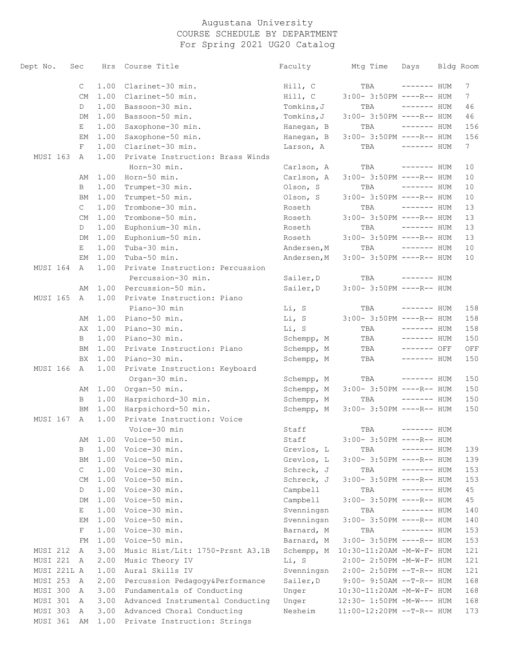| Dept No.        | Sec |              | Hrs  | Course Title                     | Faculty     | Mtg Time                   | Days         | Bldg Room       |
|-----------------|-----|--------------|------|----------------------------------|-------------|----------------------------|--------------|-----------------|
|                 |     | $\mathsf{C}$ | 1.00 | Clarinet-30 min.                 | Hill, C     | TBA                        | $------$ HUM | 7               |
|                 |     | CM           | 1.00 | Clarinet-50 min.                 | Hill, C     | 3:00- 3:50PM ----R-- HUM   |              | $7\phantom{.0}$ |
|                 |     | D            | 1.00 | Bassoon-30 min.                  | Tomkins, J  | TBA                        | ------- HUM  | 46              |
|                 |     | DM           | 1.00 | Bassoon-50 min.                  | Tomkins, J  | 3:00- 3:50PM ----R-- HUM   |              | 46              |
|                 |     | Е            | 1.00 | Saxophone-30 min.                | Hanegan, B  | TBA                        | $------$ HUM | 156             |
|                 |     | ЕM           | 1.00 | Saxophone-50 min.                | Hanegan, B  | 3:00- 3:50PM ----R-- HUM   |              | 156             |
|                 |     | $_{\rm F}$   | 1.00 | Clarinet-30 min.                 | Larson, A   | TBA                        | $------$ HUM | $7\phantom{.0}$ |
| MUSI 163        |     | A            | 1.00 | Private Instruction: Brass Winds |             |                            |              |                 |
|                 |     |              |      | Horn-30 min.                     | Carlson, A  | TBA                        | $------$ HUM | 10              |
|                 |     | AΜ           | 1.00 | Horn-50 min.                     | Carlson, A  | 3:00- 3:50PM ----R-- HUM   |              | 10              |
|                 |     | B            | 1.00 | Trumpet-30 min.                  | Olson, S    | TBA                        | $------$ HUM | 10              |
|                 |     | BM           | 1.00 | Trumpet-50 min.                  | Olson, S    | 3:00- 3:50PM ----R-- HUM   |              | 10              |
|                 |     | $\mathsf{C}$ | 1.00 | Trombone-30 min.                 | Roseth      | TBA                        | $------$ HUM | 13              |
|                 |     | CM           | 1.00 | Trombone-50 min.                 | Roseth      | 3:00- 3:50PM ----R-- HUM   |              | 13              |
|                 |     | D            | 1.00 | Euphonium-30 min.                | Roseth      | TBA                        | $------$ HUM | 13              |
|                 |     | DM           | 1.00 | Euphonium-50 min.                | Roseth      | 3:00- 3:50PM ----R-- HUM   |              | 13              |
|                 |     | Е            | 1.00 | Tuba-30 min.                     | Andersen, M | TBA                        | $------$ HUM | 10              |
|                 |     | EМ           | 1.00 | Tuba-50 min.                     | Andersen, M | 3:00- 3:50PM ----R-- HUM   |              | 10              |
| MUSI 164        |     | A            | 1.00 | Private Instruction: Percussion  |             |                            |              |                 |
|                 |     |              |      | Percussion-30 min.               | Sailer, D   | TBA                        | $------$ HUM |                 |
|                 |     | AΜ           | 1.00 | Percussion-50 min.               | Sailer, D   | 3:00- 3:50PM ----R-- HUM   |              |                 |
| <b>MUSI 165</b> |     | A            | 1.00 | Private Instruction: Piano       |             |                            |              |                 |
|                 |     |              |      | Piano-30 min                     | Li, S       | TBA                        | ------- HUM  | 158             |
|                 |     | AΜ           | 1.00 | Piano-50 min.                    | Li, S       | 3:00- 3:50PM ----R-- HUM   |              | 158             |
|                 |     | АX           | 1.00 | Piano-30 min.                    | Li, S       | TBA                        | $------$ HUM | 158             |
|                 |     | B            | 1.00 | Piano-30 min.                    | Schempp, M  | TBA                        | $------$ HUM | 150             |
|                 |     | ΒM           | 1.00 | Private Instruction: Piano       | Schempp, M  | TBA                        | $------$ OFF | OFF             |
|                 |     | BX.          | 1.00 | Piano-30 min.                    | Schempp, M  | TBA                        | $------$ HUM | 150             |
| MUSI 166        |     | A            | 1.00 | Private Instruction: Keyboard    |             |                            |              |                 |
|                 |     |              |      | Organ-30 min.                    | Schempp, M  | TBA                        | ------- HUM  | 150             |
|                 |     | AΜ           |      | $1.00$ Organ-50 min.             | Schempp, M  | 3:00- 3:50PM ----R-- HUM   |              | 150             |
|                 |     | B            | 1.00 | Harpsichord-30 min.              | Schempp, M  | TBA                        | $------$ HUM | 150             |
|                 |     | BM           | 1.00 | Harpsichord-50 min.              | Schempp, M  | $3:00-3:50PM$ ----R-- HUM  |              | 150             |
| MUSI 167        |     | $\mathbb A$  | 1.00 | Private Instruction: Voice       |             |                            |              |                 |
|                 |     |              |      | Voice-30 min                     | Staff       | TBA                        | ------- HUM  |                 |
|                 |     | AM           |      | 1.00 Voice-50 min.               | Staff       | $3:00-3:50PM$ ----R-- HUM  |              |                 |
|                 |     | В            | 1.00 | Voice-30 min.                    | Grevlos, L  | TBA                        | $------$ HUM | 139             |
|                 |     | ΒM           | 1.00 | Voice-50 min.                    | Grevlos, L  | 3:00- 3:50PM ----R-- HUM   |              | 139             |
|                 |     | $\mathsf{C}$ | 1.00 | Voice-30 min.                    | Schreck, J  | TBA                        | $------$ HUM | 153             |
|                 |     | CM           | 1.00 | Voice-50 min.                    | Schreck, J  | 3:00- 3:50PM ----R-- HUM   |              | 153             |
|                 |     | D            | 1.00 | Voice-30 min.                    | Campbell    | TBA                        | $------$ HUM | 45              |
|                 |     | DM           | 1.00 | Voice-50 min.                    | Campbell    | 3:00- 3:50PM ----R-- HUM   |              | 45              |
|                 |     | E            | 1.00 | Voice-30 min.                    | Svenningsn  | TBA                        | $------$ HUM | 140             |
|                 |     | ЕM           | 1.00 | Voice-50 min.                    | Svenningsn  | 3:00- 3:50PM ----R-- HUM   |              | 140             |
|                 |     | F            | 1.00 | Voice-30 min.                    | Barnard, M  | TBA                        | $------$ HUM | 153             |
|                 |     | FМ           | 1.00 | Voice-50 min.                    | Barnard, M  | 3:00- 3:50PM ----R-- HUM   |              | 153             |
| MUSI 212        |     | A            | 3.00 | Music Hist/Lit: 1750-Prsnt A3.1B | Schempp, M  | 10:30-11:20AM -M-W-F- HUM  |              | 121             |
| MUSI 221        |     | A            | 2.00 | Music Theory IV                  | Li, S       | 2:00- 2:50PM -M-W-F- HUM   |              | 121             |
| MUSI 221L A     |     |              | 1.00 | Aural Skills IV                  | Svenningsn  | 2:00- 2:50PM --T-R-- HUM   |              | 121             |
| MUSI 253        | A   |              | 2.00 | Percussion Pedagogy&Performance  | Sailer, D   | $9:00 - 9:50AM -T-R-- HUM$ |              | 168             |
| MUSI 300        |     | A            | 3.00 | Fundamentals of Conducting       | Unger       | 10:30-11:20AM -M-W-F- HUM  |              | 168             |
| MUSI 301        | A   |              | 3.00 | Advanced Instrumental Conducting | Unger       | 12:30- 1:50PM -M-W--- HUM  |              | 168             |
| MUSI 303        | A   |              | 3.00 | Advanced Choral Conducting       | Nesheim     | 11:00-12:20PM --T-R-- HUM  |              | 173             |
| MUSI 361        |     | AΜ           | 1.00 | Private Instruction: Strings     |             |                            |              |                 |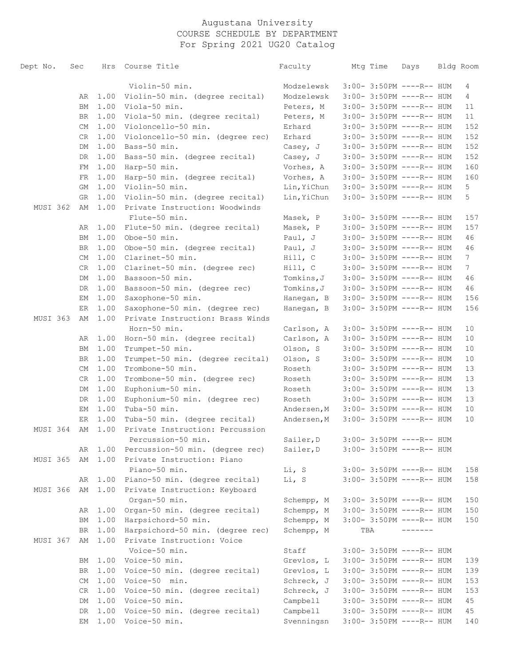| Dept No. | Sec       |      | Hrs Course Title                 | Faculty     | Mtg Time | Days                      | Bldg Room       |
|----------|-----------|------|----------------------------------|-------------|----------|---------------------------|-----------------|
|          |           |      |                                  |             |          |                           |                 |
|          |           |      | Violin-50 min.                   | Modzelewsk  |          | $3:00-3:50PM$ ----R-- HUM | 4               |
|          | AR        | 1.00 | Violin-50 min. (degree recital)  | Modzelewsk  |          | $3:00-3:50PM$ ----R-- HUM | $4\overline{ }$ |
|          | BM        |      | 1.00 Viola-50 min.               | Peters, M   |          | $3:00-3:50PM$ ----R-- HUM | 11              |
|          | BR        | 1.00 | Viola-50 min. (degree recital)   | Peters, M   |          | $3:00-3:50PM$ ----R-- HUM | 11              |
|          | СM        | 1.00 | Violoncello-50 min.              | Erhard      |          | 3:00- 3:50PM ----R-- HUM  | 152             |
|          | CR        | 1.00 | Violoncello-50 min. (degree rec) | Erhard      |          | 3:00- 3:50PM ----R-- HUM  | 152             |
|          | DM        | 1.00 | Bass-50 min.                     | Casey, J    |          | 3:00- 3:50PM ----R-- HUM  | 152             |
|          | DR        | 1.00 | Bass-50 min. (degree recital)    | Casey, J    |          | 3:00- 3:50PM ----R-- HUM  | 152             |
|          | FM        | 1.00 | Harp-50 min.                     | Vorhes, A   |          | $3:00-3:50PM$ ----R-- HUM | 160             |
|          | FR        | 1.00 | Harp-50 min. (degree recital)    | Vorhes, A   |          | $3:00-3:50PM$ ----R-- HUM | 160             |
|          | GM        | 1.00 | Violin-50 min.                   | Lin, YiChun |          | $3:00-3:50PM$ ----R-- HUM | 5               |
|          | GR        | 1.00 | Violin-50 min. (degree recital)  | Lin, YiChun |          | 3:00- 3:50PM ----R-- HUM  | 5               |
| MUSI 362 | AΜ        | 1.00 | Private Instruction: Woodwinds   |             |          |                           |                 |
|          |           |      | Flute-50 min.                    | Masek, P    |          | 3:00- 3:50PM ----R-- HUM  | 157             |
|          | AR        | 1.00 | Flute-50 min. (degree recital)   | Masek, P    |          | 3:00- 3:50PM ----R-- HUM  | 157             |
|          | ВM        | 1.00 | Oboe-50 min.                     | Paul, J     |          | 3:00- 3:50PM ----R-- HUM  | 46              |
|          | BR        | 1.00 | Oboe-50 min. (degree recital)    | Paul, J     |          | 3:00- 3:50PM ----R-- HUM  | 46              |
|          | CM        | 1.00 | Clarinet-50 min.                 | Hill, C     |          | 3:00- 3:50PM ----R-- HUM  | $7\phantom{.0}$ |
|          | CR        | 1.00 | Clarinet-50 min. (degree rec)    | Hill, C     |          | 3:00- 3:50PM ----R-- HUM  | $7\phantom{.}$  |
|          | DM        | 1.00 | Bassoon-50 min.                  | Tomkins,J   |          | $3:00-3:50PM$ ----R-- HUM | 46              |
|          | DR        | 1.00 | Bassoon-50 min. (degree rec)     | Tomkins, J  |          | $3:00-3:50PM$ ----R-- HUM | 46              |
|          | EМ        | 1.00 | Saxophone-50 min.                | Hanegan, B  |          | $3:00-3:50PM$ ----R-- HUM | 156             |
|          | ER        | 1.00 | Saxophone-50 min. (degree rec)   | Hanegan, B  |          | $3:00-3:50PM$ ----R-- HUM | 156             |
| MUSI 363 | AΜ        | 1.00 | Private Instruction: Brass Winds |             |          |                           |                 |
|          |           |      | Horn-50 min.                     | Carlson, A  |          | $3:00-3:50PM$ ----R-- HUM | 10              |
|          | AR        | 1.00 | Horn-50 min. (degree recital)    | Carlson, A  |          | $3:00-3:50PM$ ----R-- HUM | 10              |
|          | ВM        | 1.00 | Trumpet-50 min.                  | Olson, S    |          | 3:00- 3:50PM ----R-- HUM  | 10              |
|          | BR        | 1.00 | Trumpet-50 min. (degree recital) | Olson, S    |          | 3:00- 3:50PM ----R-- HUM  | 10              |
|          | СM        | 1.00 | Trombone-50 min.                 | Roseth      |          | 3:00- 3:50PM ----R-- HUM  | 13              |
|          | CR        | 1.00 | Trombone-50 min. (degree rec)    | Roseth      |          | 3:00- 3:50PM ----R-- HUM  | 13              |
|          | DM        | 1.00 | Euphonium-50 min.                | Roseth      |          | 3:00- 3:50PM ----R-- HUM  | 13              |
|          | DR        | 1.00 | Euphonium-50 min. (degree rec)   | Roseth      |          | $3:00-3:50PM$ ----R-- HUM | 13              |
|          | EМ        | 1.00 | Tuba-50 min.                     | Andersen, M |          | $3:00-3:50PM$ ----R-- HUM | 10              |
|          | ER        | 1.00 | Tuba-50 min. (degree recital)    | Andersen, M |          | $3:00-3:50PM$ ----R-- HUM | 10              |
| MUSI 364 | AM        | 1.00 | Private Instruction: Percussion  |             |          |                           |                 |
|          |           |      | Percussion-50 min.               | Sailer, D   |          | $3:00-3:50PM$ ----R-- HUM |                 |
|          | AR        | 1.00 | Percussion-50 min. (degree rec)  | Sailer, D   |          | $3:00-3:50PM$ ----R-- HUM |                 |
| MUSI 365 | AΜ        | 1.00 | Private Instruction: Piano       |             |          |                           |                 |
|          |           |      | Piano-50 min.                    | Li, S       |          | 3:00- 3:50PM ----R-- HUM  | 158             |
|          | AR        | 1.00 | Piano-50 min. (degree recital)   | Li, S       |          | $3:00-3:50PM$ ----R-- HUM | 158             |
| MUSI 366 | AΜ        | 1.00 | Private Instruction: Keyboard    |             |          |                           |                 |
|          |           |      | Organ-50 min.                    | Schempp, M  |          | 3:00- 3:50PM ----R-- HUM  | 150             |
|          | AR        | 1.00 | Organ-50 min. (degree recital)   | Schempp, M  |          | 3:00- 3:50PM ----R-- HUM  | 150             |
|          | BM        | 1.00 | Harpsichord-50 min.              | Schempp, M  |          | 3:00- 3:50PM ----R-- HUM  | 150             |
|          | <b>BR</b> | 1.00 | Harpsichord-50 min. (degree rec) | Schempp, M  | TBA      | -------                   |                 |
| MUSI 367 | AΜ        | 1.00 | Private Instruction: Voice       |             |          |                           |                 |
|          |           |      | Voice-50 min.                    | Staff       |          | $3:00-3:50PM$ ----R-- HUM |                 |
|          | ВM        |      | 1.00 Voice-50 min.               | Grevlos, L  |          | $3:00-3:50PM$ ----R-- HUM | 139             |
|          | BR        | 1.00 | Voice-50 min. (degree recital)   | Grevlos, L  |          | $3:00-3:50PM$ ----R-- HUM | 139             |
|          | СM        |      | 1.00 Voice-50 min.               | Schreck, J  |          | $3:00-3:50PM$ ----R-- HUM | 153             |
|          | CR        | 1.00 | Voice-50 min. (degree recital)   | Schreck, J  |          | $3:00-3:50PM$ ----R-- HUM | 153             |
|          | DM        |      | 1.00 Voice-50 min.               | Campbell    |          | $3:00-3:50PM$ ----R-- HUM | 45              |
|          | DR        | 1.00 | Voice-50 min. (degree recital)   | Campbell    |          | $3:00-3:50PM$ ----R-- HUM | 45              |
|          | EМ        |      | 1.00 Voice-50 min.               | Svenningsn  |          | $3:00-3:50PM$ ----R-- HUM | 140             |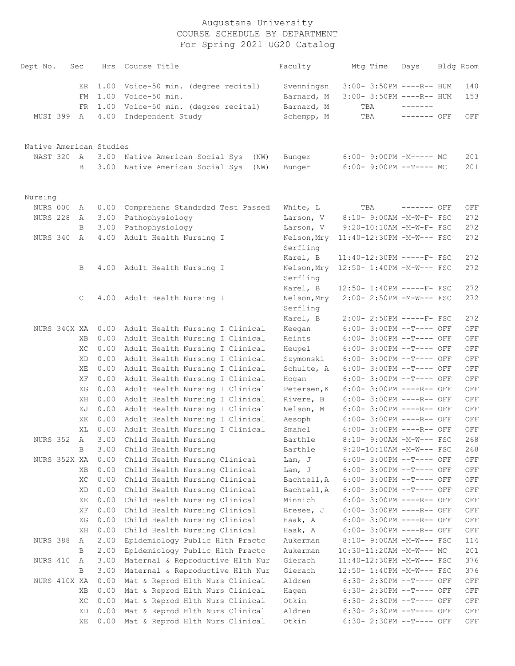| Dept No.                | Sec         | Hrs          | Course Title                                    | Faculty                  | Mtg Time                                             | Days        | Bldg Room          |
|-------------------------|-------------|--------------|-------------------------------------------------|--------------------------|------------------------------------------------------|-------------|--------------------|
|                         | ER<br>FM    | 1.00<br>1.00 | Voice-50 min. (degree recital)<br>Voice-50 min. | Svenningsn<br>Barnard, M | 3:00- 3:50PM ----R-- HUM<br>3:00- 3:50PM ----R-- HUM |             | 140<br>153         |
|                         | FR.         | 1.00         | Voice-50 min. (degree recital)                  | Barnard, M               | TBA                                                  |             |                    |
| MUSI 399                | A           | 4.00         | Independent Study                               | Schempp, M               | TBA                                                  | ------- OFF | OFF                |
| Native American Studies |             |              |                                                 |                          |                                                      |             |                    |
| NAST 320                | A           | 3.00         | Native American Social Sys<br>(NW)              | Bunger                   | $6:00-9:00PM -M----- MC$                             |             | 201                |
|                         | B           | 3.00         | Native American Social Sys<br>(NW)              | Bunger                   | $6:00-9:00PM --T---MC$                               |             | 201                |
| Nursing                 |             |              |                                                 |                          |                                                      |             |                    |
| NURS 000                | А           | 0.00         | Comprehens Standrdzd Test Passed                | White, L                 | TBA                                                  | ------- OFF | OFF                |
| <b>NURS 228</b>         | A           | 3.00         | Pathophysiology                                 | Larson, V                | 8:10- 9:00AM -M-W-F- FSC                             |             | 272                |
|                         | B           | 3.00         | Pathophysiology                                 | Larson, V                | $9:20-10:10AM$ -M-W-F- FSC                           |             | 272                |
| NURS 340                | A           | 4.00         | Adult Health Nursing I                          | Nelson, Mry              | 11:40-12:30PM -M-W--- FSC                            |             | 272                |
|                         |             |              |                                                 | Serfling                 |                                                      |             |                    |
|                         |             |              |                                                 | Karel, B                 | $11:40-12:30PM$ -----F- FSC                          |             | 272                |
|                         | В           | 4.00         | Adult Health Nursing I                          | Nelson, Mry<br>Serfling  | 12:50- 1:40PM -M-W--- FSC                            |             | 272                |
|                         |             |              |                                                 | Karel, B                 | 12:50- 1:40PM -----F- FSC                            |             | 272                |
|                         | C           | 4.00         | Adult Health Nursing I                          | Nelson, Mry<br>Serfling  | 2:00- 2:50PM -M-W--- FSC                             |             | 272                |
|                         |             |              |                                                 | Karel, B                 | 2:00- 2:50PM -----F- FSC                             |             | 272                |
| NURS 340X XA            |             | 0.00         | Adult Health Nursing I Clinical                 | Keegan                   | 6:00- 3:00PM --T---- OFF                             |             | OFF                |
|                         | XВ          | 0.00         | Adult Health Nursing I Clinical                 | Reints                   | 6:00- 3:00PM --T---- OFF                             |             | $\mathop{\rm OFF}$ |
|                         | XC          | 0.00         | Adult Health Nursing I Clinical                 | Heupel                   | 6:00- 3:00PM --T---- OFF                             |             | $\mathop{\rm OFF}$ |
|                         | XD          | 0.00         | Adult Health Nursing I Clinical                 | Szymonski                | 6:00- 3:00PM --T---- OFF                             |             | OFF                |
|                         | ΧE          | 0.00         | Adult Health Nursing I Clinical                 | Schulte, A               | 6:00- 3:00PM --T---- OFF                             |             | OFF                |
|                         | XF          | 0.00         | Adult Health Nursing I Clinical                 | Hogan                    | 6:00- 3:00PM --T---- OFF                             |             | $\mathop{\rm OFF}$ |
|                         | ХG          | 0.00         | Adult Health Nursing I Clinical                 | Petersen, K              | 6:00- 3:00PM ----R-- OFF                             |             | $\mathop{\rm OFF}$ |
|                         | ΧH          | 0.00         | Adult Health Nursing I Clinical                 | Rivere, B                | 6:00- 3:00PM ----R-- OFF                             |             | OFF                |
|                         | ΧJ          | 0.00         | Adult Health Nursing I Clinical                 | Nelson, M                | 6:00- 3:00PM ----R-- OFF                             |             | $\mathop{\rm OFF}$ |
|                         | XK          | 0.00         | Adult Health Nursing I Clinical                 | Aesoph                   | 6:00- 3:00PM ----R-- OFF                             |             | $\mathop{\rm OFF}$ |
|                         | ΧL          | 0.00         | Adult Health Nursing I Clinical                 | Smahel                   | 6:00- 3:00PM ----R-- OFF                             |             | OFF                |
| <b>NURS 352</b>         | $\mathbb A$ | 3.00         | Child Health Nursing                            | Barthle                  | 8:10- 9:00AM -M-W--- FSC                             |             | 268                |
|                         | B           | 3.00         | Child Health Nursing                            | Barthle                  | $9:20-10:10AM$ -M-W--- FSC                           |             | 268                |
| NURS 352X XA            |             | 0.00         | Child Health Nursing Clinical                   | Lam, J                   | 6:00- 3:00PM --T---- OFF                             |             | $\mathop{\rm OFF}$ |
|                         | ΧB          | 0.00         | Child Health Nursing Clinical                   | Lam, J                   | 6:00- 3:00PM --T---- OFF                             |             | $\mathop{\rm OFF}$ |
|                         | XC          | 0.00         | Child Health Nursing Clinical                   | Bachtell, A              | 6:00- 3:00PM --T---- OFF                             |             | $\mathop{\rm OFF}$ |
|                         | XD          | 0.00         | Child Health Nursing Clinical                   | Bachtell, A              | 6:00- 3:00PM --T---- OFF                             |             | $\mathop{\rm OFF}$ |
|                         | XE          | 0.00         | Child Health Nursing Clinical                   | Minnich                  | 6:00- 3:00PM ----R-- OFF                             |             | OFF                |
|                         | ΧF          | 0.00         | Child Health Nursing Clinical                   | Bresee, J                | 6:00- 3:00PM ----R-- OFF                             |             | OFF                |
|                         | XG          | 0.00         | Child Health Nursing Clinical                   | Haak, A                  | 6:00- 3:00PM ----R-- OFF                             |             | OFF                |
|                         | XH          | 0.00         | Child Health Nursing Clinical                   | Haak, A                  | 6:00- 3:00PM ----R-- OFF                             |             | $\mathop{\rm OFF}$ |
| NURS 388                | Α           | 2.00         | Epidemiology Public Hlth Practc                 | Aukerman                 | 8:10- 9:00AM -M-W--- FSC                             |             | 114                |
|                         | B           | 2.00         | Epidemiology Public Hlth Practc                 | Aukerman                 | 10:30-11:20AM -M-W--- MC                             |             | 201                |
| NURS 410                | Α           | 3.00         | Maternal & Reproductive Hlth Nur                | Gierach                  | 11:40-12:30PM -M-W--- FSC                            |             | 376                |
|                         | B           | 3.00         | Maternal & Reproductive Hlth Nur                | Gierach                  | 12:50- 1:40PM -M-W--- FSC                            |             | 376                |
| NURS 410X XA            |             | 0.00         | Mat & Reprod Hlth Nurs Clinical                 | Aldren                   | 6:30- 2:30PM --T---- OFF                             |             | OFF                |
|                         | XВ          | 0.00         | Mat & Reprod Hlth Nurs Clinical                 | Hagen                    | 6:30- 2:30PM --T---- OFF                             |             | OFF                |
|                         | XC          | 0.00         | Mat & Reprod Hlth Nurs Clinical                 | Otkin                    | 6:30- 2:30PM --T---- OFF                             |             | OFF                |
|                         | XD          | 0.00         | Mat & Reprod Hlth Nurs Clinical                 | Aldren                   | 6:30- 2:30PM --T---- OFF                             |             | OFF                |
|                         | XE          | 0.00         | Mat & Reprod Hlth Nurs Clinical                 | Otkin                    | 6:30- 2:30PM --T---- OFF                             |             | $\mathop{\rm OFF}$ |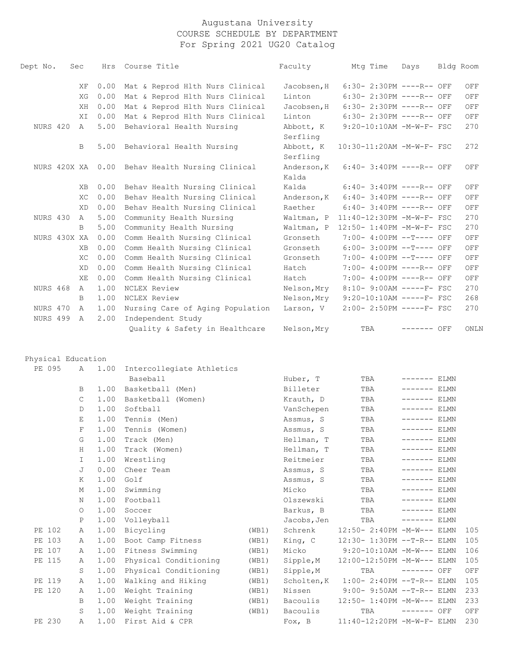| Dept No.           | Sec          | Hrs        | Course Title                     | Faculty                                    | Mtg Time                             | Days          | Bldg Room |      |
|--------------------|--------------|------------|----------------------------------|--------------------------------------------|--------------------------------------|---------------|-----------|------|
|                    | ΧF           | 0.00       | Mat & Reprod Hlth Nurs Clinical  | Jacobsen, H                                | 6:30- 2:30PM ----R-- OFF             |               |           | OFF  |
|                    | XG           | 0.00       | Mat & Reprod Hlth Nurs Clinical  | Linton                                     | 6:30- 2:30PM ----R-- OFF             |               |           | OFF  |
|                    | XH           | 0.00       | Mat & Reprod Hlth Nurs Clinical  | Jacobsen, H                                | 6:30- 2:30PM ----R-- OFF             |               |           | OFF  |
|                    | ΧI           | 0.00       | Mat & Reprod Hlth Nurs Clinical  | Linton                                     | 6:30- 2:30PM ----R-- OFF             |               |           | OFF  |
| NURS 420           | A            | 5.00       | Behavioral Health Nursing        | Abbott, K<br>Serfling                      | 9:20-10:10AM -M-W-F- FSC             |               |           | 270  |
|                    | B            | 5.00       | Behavioral Health Nursing        | Abbott, K<br>Serfling                      | 10:30-11:20AM -M-W-F- FSC            |               |           | 272  |
| NURS 420X XA       |              | 0.00       | Behav Health Nursing Clinical    | Anderson, K<br>Kalda                       | 6:40- 3:40PM ----R-- OFF             |               |           | OFF  |
|                    | XВ           | 0.00       | Behav Health Nursing Clinical    | Kalda                                      | $6:40-3:40PM$ ----R-- OFF            |               |           | OFF  |
|                    | XC           | 0.00       | Behav Health Nursing Clinical    | Anderson, K                                | 6:40- 3:40PM ----R-- OFF             |               |           | OFF  |
|                    | XD           | 0.00       | Behav Health Nursing Clinical    | Raether                                    | $6:40-3:40PM$ ----R-- OFF            |               |           | OFF  |
| NURS 430           | Α            | 5.00       | Community Health Nursing         | Waltman, P                                 | 11:40-12:30PM -M-W-F- FSC            |               |           | 270  |
|                    | B            | 5.00       | Community Health Nursing         |                                            | Waltman, P 12:50- 1:40PM -M-W-F- FSC |               |           | 270  |
| NURS 430X XA       |              | 0.00       | Comm Health Nursing Clinical     | Gronseth                                   | 7:00- 4:00PM --T---- OFF             |               |           | OFF  |
|                    | <b>XB</b>    | 0.00       | Comm Health Nursing Clinical     | Gronseth                                   | 6:00- 3:00PM --T---- OFF             |               |           | OFF  |
|                    | XC           | 0.00       | Comm Health Nursing Clinical     | Gronseth                                   | 7:00- 4:00PM --T---- OFF             |               |           | OFF  |
|                    | XD           | 0.00       | Comm Health Nursing Clinical     | Hatch                                      | 7:00- 4:00PM ----R-- OFF             |               |           | OFF  |
|                    | ΧE           | 0.00       | Comm Health Nursing Clinical     | Hatch                                      | 7:00- 4:00PM ----R-- OFF             |               |           | OFF  |
| <b>NURS 468</b>    | $\mathbb A$  | 1.00       | NCLEX Review                     | Nelson, Mry                                | 8:10- 9:00AM -----F- FSC             |               |           | 270  |
|                    | B            | 1.00       | NCLEX Review                     | Nelson, Mry                                | $9:20-10:10AM$ -----F- FSC           |               |           | 268  |
| NURS 470           | Α            | 1.00       | Nursing Care of Aging Population | Larson, V                                  | 2:00- 2:50PM -----F- FSC             |               |           | 270  |
| <b>NURS 499</b>    | $\mathbb{A}$ | 2.00       | Independent Study                |                                            |                                      |               |           |      |
|                    |              |            | Quality & Safety in Healthcare   | Nelson, Mry                                | TBA                                  | ------- OFF   |           | ONLN |
| Physical Education |              |            |                                  |                                            |                                      |               |           |      |
| PE 095             | Α            | 1.00       | Intercollegiate Athletics        |                                            |                                      |               |           |      |
|                    |              |            | Baseball                         | Huber, T                                   | TBA                                  | $------$ ELMN |           |      |
|                    | B            | 1.00       | Basketball (Men)                 | Billeter                                   | TBA                                  | $------$ ELMN |           |      |
|                    | C            | 1.00       | Basketball (Women)               | Krauth, D                                  | TBA                                  | $------$ ELMN |           |      |
|                    | D            | 1.00       | Softball                         | VanSchepen                                 | TBA                                  | $------$ ELMN |           |      |
|                    | Ε            | 1.00       | Tennis (Men)                     | Assmus, S                                  | TBA                                  | $------$ ELMN |           |      |
|                    | $\mathbf F$  | 1.00       | Tennis (Women)                   | Assmus, S                                  | TBA                                  | $------$ ELMN |           |      |
|                    | G            | 1.00       | Track (Men)                      | Hellman, T                                 | TBA                                  | $------$ ELMN |           |      |
|                    | H            | 1.00       | Track (Women)                    | Hellman, T                                 | TBA                                  | $------$ ELMN |           |      |
|                    | I.           | 1.00       | Wrestling                        | Reitmeier                                  | TBA                                  | $------$ ELMN |           |      |
|                    | J            | 0.00       | Cheer Team                       | Assmus, S                                  | TBA                                  | $------$ ELMN |           |      |
|                    | $\sim$       | $\sim$ 0.0 | $\sim$ $\sim$                    | <b>Contract Contract Contract Contract</b> | $m = n$                              |               | $- -$     |      |

|        | J            | 0.00 | Cheer Team            |       | Assmus, S   | TBA                          |          | <b>ELMN</b> |     |
|--------|--------------|------|-----------------------|-------|-------------|------------------------------|----------|-------------|-----|
|        | K            | 1.00 | Golf                  |       | Assmus, S   | TBA                          | -------- | ELMN        |     |
|        | М            | 1.00 | Swimming              |       | Micko       | TBA                          |          | <b>ELMN</b> |     |
|        | Ν            | 1.00 | Football              |       | Olszewski   | TBA                          |          | ELMN        |     |
|        | $\Omega$     | 1.00 | Soccer                |       | Barkus, B   | TBA                          | ----     | ELMN        |     |
|        | $\mathsf{P}$ | 1.00 | Volleyball            |       | Jacobs, Jen | TBA                          |          | <b>ELMN</b> |     |
| PE 102 | Α            | 1.00 | Bicycling             | (WB1) | Schrenk     | 12:50- 2:40PM -M-W--- ELMN   |          |             | 105 |
| PE 103 | $\mathsf{A}$ | 1.00 | Boot Camp Fitness     | (WB1) | King, C     | 12:30- 1:30PM --T-R-- ELMN   |          |             | 105 |
| PE 107 | Α            | 1.00 | Fitness Swimming      | (WB1) | Micko       | $9:20-10:10AM - M-W---$ ELMN |          |             | 106 |
| PE 115 | $\mathsf{A}$ | 1.00 | Physical Conditioning | (WB1) | Sipple, M   | 12:00-12:50PM -M-W--- ELMN   |          |             | 105 |
|        | S.           | 1.00 | Physical Conditioning | (WB1) | Sipple, M   | TBA                          | -------  | OFF         | OFF |
| PE 119 | Α            | 1.00 | Walking and Hiking    | (WB1) | Scholten, K | $1:00-2:40PM -T-R--ELMN$     |          |             | 105 |
| PE 120 | Α            | 1.00 | Weight Training       | (WB1) | Nissen      | $9:00 - 9:50AM -T-R--ELMN$   |          |             | 233 |
|        | B            | 1.00 | Weight Training       | (WB1) | Bacoulis    | 12:50- 1:40PM -M-W--- ELMN   |          |             | 233 |
|        | S            | 1.00 | Weight Training       | (WB1) | Bacoulis    | TBA                          | -------  | OFF         | OFF |
| PE 230 | Α            | 1.00 | First Aid & CPR       |       | Fox, B      | 11:40-12:20PM -M-W-F- ELMN   |          |             | 230 |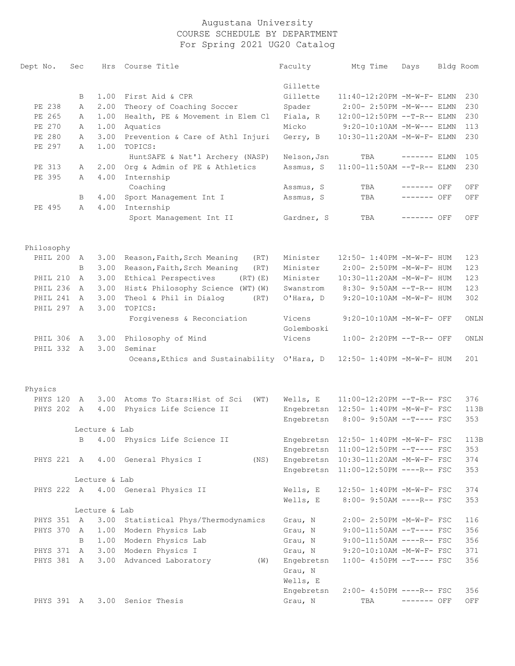| Dept No.               | Sec          |               | Hrs Course Title                                                           | Faculty              | Mtq Time                             | Days          | Bldg Room |
|------------------------|--------------|---------------|----------------------------------------------------------------------------|----------------------|--------------------------------------|---------------|-----------|
|                        |              |               |                                                                            | Gillette             |                                      |               |           |
|                        | B            | 1.00          | First Aid & CPR                                                            | Gillette             | 11:40-12:20PM -M-W-F- ELMN           |               | 230       |
| PE 238                 | Α            | 2.00          | Theory of Coaching Soccer                                                  | Spader               | 2:00- 2:50PM -M-W--- ELMN            |               | 230       |
| PE 265                 | Α            | 1.00          | Health, PE & Movement in Elem Cl                                           | Fiala, R             | $12:00-12:50PM -T-R--ELMN$           |               | 230       |
| PE 270                 | Α            | 1.00          | Aquatics                                                                   | Micko                | 9:20-10:10AM -M-W--- ELMN            |               | 113       |
| PE 280                 | Α            | 3.00          | Prevention & Care of Athl Injuri                                           | Gerry, B             | 10:30-11:20AM -M-W-F- ELMN           |               | 230       |
| PE 297                 | Α            | 1.00          | TOPICS:                                                                    |                      |                                      |               |           |
|                        |              |               | HuntSAFE & Nat'l Archery (NASP)                                            | Nelson, Jsn          | TBA                                  | $------$ ELMN | 105       |
| PE 313                 | Α            | 2.00          | Org & Admin of PE & Athletics                                              | Assmus, S            | $11:00-11:50AM$ --T-R-- ELMN         |               | 230       |
| PE 395                 | Α            | 4.00          | Internship                                                                 |                      |                                      |               |           |
|                        |              |               | Coaching                                                                   | Assmus, S            | TBA                                  | ------- OFF   | OFF       |
|                        | B            | 4.00          | Sport Management Int I                                                     | Assmus, S            | TBA                                  | ------- OFF   | OFF       |
| PE 495                 | Α            | 4.00          | Internship                                                                 |                      |                                      |               |           |
|                        |              |               | Sport Management Int II                                                    | Gardner, S           | TBA                                  | $------$ OFF  | OFF       |
|                        |              |               |                                                                            |                      |                                      |               |           |
| Philosophy<br>PHIL 200 |              |               |                                                                            | Minister             | 12:50- 1:40PM -M-W-F- HUM            |               | 123       |
|                        | A<br>B       | 3.00<br>3.00  | Reason, Faith, Srch Meaning<br>(RT)<br>Reason, Faith, Srch Meaning<br>(RT) | Minister             | 2:00- 2:50PM -M-W-F- HUM             |               | 123       |
| PHIL 210               | A            | 3.00          | Ethical Perspectives<br>$(RT)$ $(E)$                                       | Minister             | 10:30-11:20AM -M-W-F- HUM            |               | 123       |
| PHIL 236               | $\mathbb{A}$ | 3.00          | Hist& Philosophy Science (WT) (W)                                          | Swanstrom            | 8:30- 9:50AM --T-R-- HUM             |               | 123       |
| PHIL 241               | A            | 3.00          | Theol & Phil in Dialog<br>(RT)                                             | O'Hara, D            | 9:20-10:10AM -M-W-F- HUM             |               | 302       |
| PHIL 297               | A            | 3.00          | TOPICS:                                                                    |                      |                                      |               |           |
|                        |              |               | Forgiveness & Reconciation                                                 | Vicens<br>Golemboski | 9:20-10:10AM -M-W-F- OFF             |               | ONLN      |
| PHIL 306 A             |              | 3.00          | Philosophy of Mind                                                         | Vicens               | $1:00-2:20PM -T-R--OFF$              |               | ONLN      |
| PHIL 332 A             |              | 3.00          | Seminar                                                                    |                      |                                      |               |           |
|                        |              |               | Oceans, Ethics and Sustainability O'Hara, D 12:50-1:40PM -M-W-F- HUM       |                      |                                      |               | 201       |
| Physics                |              |               |                                                                            |                      |                                      |               |           |
| PHYS 120               | A            | 3.00          | Atoms To Stars: Hist of Sci<br>(WT)                                        | Wells, E             | 11:00-12:20PM --T-R-- FSC            |               | 376       |
| PHYS 202 A             |              | 4.00          | Physics Life Science II                                                    |                      | Engebretsn 12:50- 1:40PM -M-W-F- FSC |               | 113B      |
|                        |              |               |                                                                            | Engebretsn           | 8:00- 9:50AM --T---- FSC             |               | 353       |
|                        |              | Lecture & Lab |                                                                            |                      |                                      |               |           |
|                        |              |               | B 4.00 Physics Life Science II                                             |                      | Engebretsn 12:50- 1:40PM -M-W-F- FSC |               | 113B      |
|                        |              |               |                                                                            | Engebretsn           | 11:00-12:50PM --T---- FSC            |               | 353       |
| PHYS 221 A             |              |               | 4.00 General Physics I<br>(NS)                                             | Engebretsn           | 10:30-11:20AM -M-W-F- FSC            |               | 374       |
|                        |              |               |                                                                            | Engebretsn           | 11:00-12:50PM ----R-- FSC            |               | 353       |
|                        |              | Lecture & Lab |                                                                            |                      |                                      |               |           |
|                        |              |               | PHYS 222 A 4.00 General Physics II                                         | Wells, E             | 12:50- 1:40PM -M-W-F- FSC            |               | 374       |
|                        |              |               |                                                                            | Wells, E             | 8:00- 9:50AM ----R-- FSC             |               | 353       |
|                        |              | Lecture & Lab |                                                                            |                      |                                      |               |           |
| PHYS 351 A             |              | 3.00          | Statistical Phys/Thermodynamics                                            | Grau, N              | 2:00- 2:50PM -M-W-F- FSC             |               | 116       |
| PHYS 370               | A            | 1.00          | Modern Physics Lab                                                         | Grau, N              | $9:00-11:50AM$ --T---- FSC           |               | 356       |
|                        | B            |               | 1.00 Modern Physics Lab                                                    | Grau, N              | $9:00-11:50AM$ ----R-- FSC           |               | 356       |
| PHYS 371 A             |              |               | 3.00 Modern Physics I                                                      | Grau, N              | 9:20-10:10AM -M-W-F- FSC             |               | 371       |
| PHYS 381 A             |              | 3.00          | Advanced Laboratory<br>(W)                                                 | Engebretsn           | $1:00-4:50PM --T---FSC$              |               | 356       |
|                        |              |               |                                                                            | Grau, N              |                                      |               |           |
|                        |              |               |                                                                            | Wells, E             |                                      |               |           |
|                        |              |               |                                                                            | Engebretsn           | $2:00-4:50PM$ ----R-- FSC            |               | 356       |
| PHYS 391 A             |              | 3.00          | Senior Thesis                                                              | Grau, N              | TBA                                  | ------- OFF   | OFF       |
|                        |              |               |                                                                            |                      |                                      |               |           |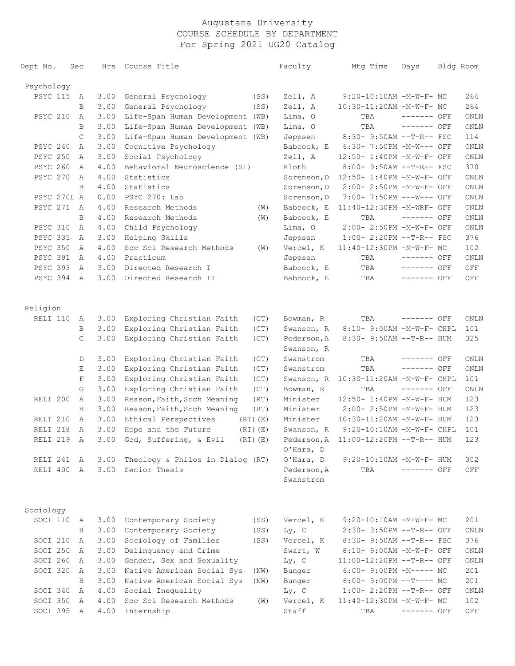| Dept No.        | Sec          | Hrs  | Course Title                                           |              | Faculty                   | Mtg Time                                              | Days         | Bldg Room |      |
|-----------------|--------------|------|--------------------------------------------------------|--------------|---------------------------|-------------------------------------------------------|--------------|-----------|------|
| Psychology      |              |      |                                                        |              |                           |                                                       |              |           |      |
| <b>PSYC 115</b> | A            | 3.00 | General Psychology                                     | (SS)         | Zell, A                   | 9:20-10:10AM -M-W-F- MC                               |              |           | 264  |
|                 | B            | 3.00 | General Psychology                                     | (SS)         | Zell, A                   | 10:30-11:20AM -M-W-F- MC                              |              |           | 264  |
| PSYC 210        | Α            | 3.00 | Life-Span Human Development (WB)                       |              | Lima, O                   | TBA                                                   | ------- OFF  |           | ONLN |
|                 | B            | 3.00 | Life-Span Human Development (WB)                       |              | Lima, 0                   | TBA                                                   | ------- OFF  |           | ONLN |
|                 | $\mathsf{C}$ | 3.00 | Life-Span Human Development (WB)                       |              | Jeppsen                   | 8:30- 9:50AM --T-R-- FSC                              |              |           | 114  |
| PSYC 240        | Α            | 3.00 | Cognitive Psychology                                   |              | Babcock, E                | 6:30- 7:50PM -M-W--- OFF                              |              |           | ONLN |
| <b>PSYC 250</b> | Α            | 3.00 | Social Psychology                                      |              | Zell, A                   | 12:50- 1:40PM -M-W-F- OFF                             |              |           | ONLN |
| <b>PSYC 260</b> | Α            | 4.00 | Behavioral Neuroscience (SI)                           |              | Kloth                     | 8:00- 9:50AM --T-R-- FSC                              |              |           | 370  |
| PSYC 270        | A            | 4.00 | Statistics                                             |              | Sorenson, D               | 12:50- 1:40PM -M-W-F- OFF                             |              |           | ONLN |
|                 | B            | 4.00 | Statistics                                             |              | Sorenson, D               | 2:00- 2:50PM -M-W-F- OFF                              |              |           | ONLN |
| PSYC 270L A     |              | 0.00 | PSYC 270: Lab                                          |              | Sorenson, D               | 7:00- 7:50PM ---W--- OFF                              |              |           | ONLN |
| <b>PSYC 271</b> | $\mathbb{A}$ | 4.00 | Research Methods                                       | (W)          | Babcock, E                | 11:40-12:30PM -M-WRF- OFF                             |              |           | ONLN |
|                 | B            | 4.00 | Research Methods                                       | (W)          | Babcock, E                | TBA                                                   | $------$ OFF |           | ONLN |
| <b>PSYC 310</b> | Α            | 4.00 | Child Psychology                                       |              | Lima, 0                   | 2:00- 2:50PM -M-W-F- OFF                              |              |           | ONLN |
| <b>PSYC 335</b> | Α            | 3.00 | Helping Skills                                         |              | Jeppsen                   | 1:00- 2:20PM --T-R-- FSC                              |              |           | 376  |
| PSYC 350        | Α            | 4.00 | Soc Sci Research Methods                               | (W)          | Vercel, K                 | 11:40-12:30PM -M-W-F- MC                              |              |           | 102  |
| <b>PSYC 391</b> | A            | 4.00 | Practicum                                              |              | Jeppsen                   | TBA                                                   | ------- OFF  |           | ONLN |
| PSYC 393        | A            | 3.00 | Directed Research I                                    |              | Babcock, E                | TBA                                                   | ------- OFF  |           | OFF  |
| <b>PSYC 394</b> | A            | 3.00 | Directed Research II                                   |              | Babcock, E                | TBA                                                   | ------- OFF  |           | OFF  |
| Religion        |              |      |                                                        |              |                           |                                                       |              |           |      |
| RELI 110        | А            | 3.00 | Exploring Christian Faith                              | (CT)         |                           | TBA                                                   | ------- OFF  |           | ONLN |
|                 |              | 3.00 |                                                        |              | Bowman, R                 |                                                       |              |           | 101  |
|                 | B<br>C       | 3.00 | Exploring Christian Faith<br>Exploring Christian Faith | (CT)<br>(CT) | Swanson, R<br>Pederson, A | 8:10- 9:00AM -M-W-F- CHPL<br>8:30- 9:50AM --T-R-- HUM |              |           | 325  |
|                 |              |      |                                                        |              | Swanson, R                |                                                       |              |           |      |
|                 | D            | 3.00 | Exploring Christian Faith                              | (CT)         | Swanstrom                 | TBA                                                   | ------- OFF  |           | ONLN |
|                 | Ε            | 3.00 | Exploring Christian Faith                              | (CT)         | Swanstrom                 | TBA                                                   | ------- OFF  |           | ONLN |
|                 | F            | 3.00 | Exploring Christian Faith                              | (CT)         | Swanson, R                | 10:30-11:20AM -M-W-F- CHPL                            |              |           | 101  |
|                 | G            | 3.00 | Exploring Christian Faith                              | (CT)         | Bowman, R                 | TBA                                                   | $------$ OFF |           | ONLN |
| RELI 200        | A            | 3.00 | Reason, Faith, Srch Meaning                            | (RT)         | Minister                  | 12:50- 1:40PM -M-W-F- HUM                             |              |           | 123  |
|                 | B            | 3.00 | Reason, Faith, Srch Meaning                            | (RT)         | Minister                  | 2:00- 2:50PM -M-W-F- HUM                              |              |           | 123  |
| RELI 210        | A            | 3.00 | Ethical Perspectives                                   | $(RT)$ $(E)$ | Minister                  | 10:30-11:20AM -M-W-F- HUM                             |              |           | 123  |
| RELI 218        | Α            | 3.00 | Hope and the Future                                    | $(RT)$ $(E)$ | Swanson, R                | 9:20-10:10AM -M-W-F- CHPL                             |              |           | 101  |
|                 |              | 3.00 |                                                        | $(RT)$ $(E)$ |                           | Pederson, A 11:00-12:20PM --T-R-- HUM                 |              |           | 123  |
| RELI 219        | A            |      | God, Suffering, & Evil                                 |              | O'Hara, D                 |                                                       |              |           |      |
| RELI 241 A      |              | 3.00 | Theology & Philos in Dialog (RT)                       |              | O'Hara, D                 | $9:20-10:10AM - M-W-F- HUM$                           |              |           | 302  |
| RELI 400 A      |              |      | 3.00 Senior Thesis                                     |              | Pederson, A<br>Swanstrom  | TBA                                                   | ------- OFF  |           | OFF  |
| Sociology       |              |      |                                                        |              |                           |                                                       |              |           |      |
| SOCI 110 A      |              | 3.00 | Contemporary Society                                   | (SS)         | Vercel, K                 | $9:20-10:10AM$ -M-W-F- MC                             |              |           | 201  |
|                 | B            | 3.00 | Contemporary Society                                   | (SS)         | $Ly$ , C                  | 2:30- 3:50PM --T-R-- OFF                              |              |           | ONLN |
| SOCI 210        | A            | 3.00 | Sociology of Families                                  | (SS)         | Vercel, K                 | 8:30- 9:50AM --T-R-- FSC                              |              |           | 376  |
| SOCI 250        | A            | 3.00 | Delinquency and Crime                                  |              | Swart, W                  | 8:10- 9:00AM -M-W-F- OFF                              |              |           | ONLN |
| SOCI 260        | A            | 3.00 | Gender, Sex and Sexuality                              |              | $Ly$ , C                  | 11:00-12:20PM --T-R-- OFF                             |              |           | ONLN |
| SOCI 320        | A            | 3.00 | Native American Social Sys                             | (NW)         | Bunger                    | $6:00-9:00PM -M--- MC$                                |              |           | 201  |
|                 | В            | 3.00 | Native American Social Sys                             | (NW)         | Bunger                    | $6:00-9:00PM$ --T---- MC                              |              |           | 201  |
| SOCI 340        | A            | 4.00 | Social Inequality                                      |              | $Ly$ , C                  | 1:00- 2:20PM --T-R-- OFF                              |              |           | ONLN |
| SOCI 350        | A            | 4.00 | Soc Sci Research Methods                               | (W)          | Vercel, K                 | 11:40-12:30PM -M-W-F- MC                              |              |           | 102  |
| SOCI 395 A      |              | 4.00 | Internship                                             |              | Staff                     | TBA                                                   | ------- OFF  |           | OFF  |
|                 |              |      |                                                        |              |                           |                                                       |              |           |      |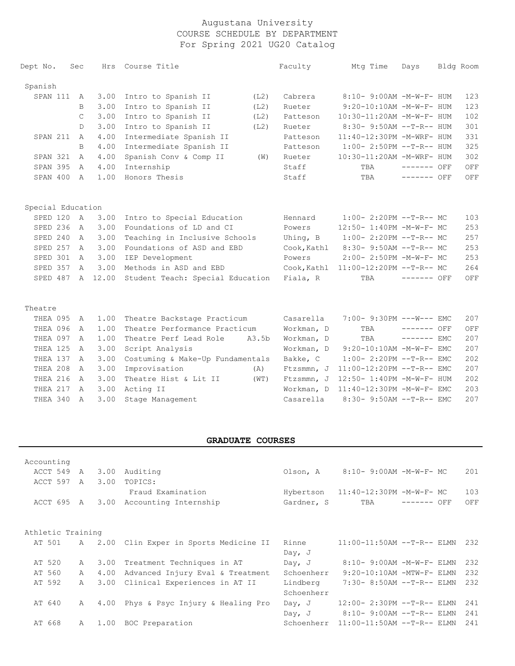| Dept No.          | Sec            | Hrs     | Course Title                     |       | Faculty     | Mtg Time                             | Days         | Bldg Room |     |
|-------------------|----------------|---------|----------------------------------|-------|-------------|--------------------------------------|--------------|-----------|-----|
| Spanish           |                |         |                                  |       |             |                                      |              |           |     |
| SPAN 111          | A              | 3.00    | Intro to Spanish II              | (L2)  | Cabrera     | 8:10- 9:00AM -M-W-F- HUM             |              |           | 123 |
|                   | B              | 3.00    | Intro to Spanish II              | (L2)  | Rueter      | 9:20-10:10AM -M-W-F- HUM             |              |           | 123 |
|                   | C              | 3.00    | Intro to Spanish II              | (L2)  | Patteson    | 10:30-11:20AM -M-W-F- HUM            |              |           | 102 |
|                   | D              | 3.00    | Intro to Spanish II              | (L2)  | Rueter      | 8:30- 9:50AM --T-R-- HUM             |              |           | 301 |
| SPAN 211          | $\mathsf{A}$   | 4.00    | Intermediate Spanish II          |       | Patteson    | 11:40-12:30PM -M-WRF- HUM            |              |           | 331 |
|                   | B              | 4.00    | Intermediate Spanish II          |       | Patteson    | $1:00-2:50PM -T-R--HUM$              |              |           | 325 |
| SPAN 321          | $\mathsf{A}$   | 4.00    | Spanish Conv & Comp II           | (W)   | Rueter      | 10:30-11:20AM -M-WRF- HUM            |              |           | 302 |
| <b>SPAN 395</b>   | A              | 4.00    | Internship                       |       | Staff       | TBA                                  | $------$ OFF |           | OFF |
| SPAN 400          | A              | 1.00    | Honors Thesis                    |       | Staff       | TBA                                  | $------$ OFF |           | OFF |
|                   |                |         |                                  |       |             |                                      |              |           |     |
| Special Education |                |         |                                  |       |             |                                      |              |           |     |
| SPED 120          | A              | 3.00    | Intro to Special Education       |       | Hennard     | $1:00-2:20PM -T-R--MC$               |              |           | 103 |
| SPED 236          | A              | 3.00    | Foundations of LD and CI         |       | Powers      | 12:50- 1:40PM -M-W-F- MC             |              |           | 253 |
| SPED 240          | A              | 3.00    | Teaching in Inclusive Schools    |       | Uhing, B    | $1:00-2:20PM -T-R--MC$               |              |           | 257 |
| SPED 257          | $\mathsf{A}$   | 3.00    | Foundations of ASD and EBD       |       | Cook, Kathl | 8:30- 9:50AM --T-R-- MC              |              |           | 253 |
| SPED 301          | A              | 3.00    | IEP Development                  |       | Powers      | 2:00- 2:50PM -M-W-F- MC              |              |           | 253 |
| SPED 357          | $\mathbb{A}$   | 3.00    | Methods in ASD and EBD           |       |             | Cook, Kathl 11:00-12:20PM --T-R-- MC |              |           | 264 |
| SPED 487          |                | A 12.00 | Student Teach: Special Education |       | Fiala, R    | TBA                                  | ------- OFF  |           | OFF |
| Theatre           |                |         |                                  |       |             |                                      |              |           |     |
| THEA 095          | A              | 1.00    | Theatre Backstage Practicum      |       | Casarella   | 7:00- 9:30PM ---W--- EMC             |              |           | 207 |
| THEA 096          | $\mathsf{A}$   | 1.00    | Theatre Performance Practicum    |       | Workman, D  | TBA                                  | $------$ OFF |           | OFF |
| THEA 097          | $\mathsf{A}$   | 1.00    | Theatre Perf Lead Role           | A3.5b | Workman, D  | TBA                                  | $------EMC$  |           | 207 |
| THEA 125          | $\overline{A}$ | 3.00    | Script Analysis                  |       | Workman, D  | 9:20-10:10AM -M-W-F- EMC             |              |           | 207 |
| THEA 137          | A              | 3.00    | Costuming & Make-Up Fundamentals |       | Bakke, C    | $1:00-2:20PM -T-R--EMC$              |              |           | 202 |
| THEA 208          | $\mathsf{A}$   | 3.00    | Improvisation                    | (A)   | Ftzsmmn, J  | 11:00-12:20PM --T-R-- EMC            |              |           | 207 |
| THEA 216          | Α              | 3.00    | Theatre Hist & Lit II            | (WT)  | Ftzsmmn, J  | 12:50- 1:40PM -M-W-F- HUM            |              |           | 202 |
| THEA 217          | Α              | 3.00    | Acting II                        |       | Workman, D  | 11:40-12:30PM -M-W-F- EMC            |              |           | 203 |
| THEA 340          | $\mathsf{A}$   | 3.00    | Stage Management                 |       | Casarella   | 8:30- 9:50AM --T-R-- EMC             |              |           | 207 |

### **GRADUATE COURSES**

| Accounting        |              |      |                                         |            |                                  |              |  |     |
|-------------------|--------------|------|-----------------------------------------|------------|----------------------------------|--------------|--|-----|
| ACCT 549          | A            | 3.00 | Auditing                                | Olson, A   | 8:10- 9:00AM -M-W-F- MC          |              |  | 201 |
| ACCT 597          | A            | 3.00 | TOPICS:                                 |            |                                  |              |  |     |
|                   |              |      | Fraud Examination                       | Hybertson  | 11:40-12:30PM -M-W-F- MC         |              |  | 103 |
| ACCT 695 A        |              | 3.00 | Accounting Internship                   | Gardner, S | TBA                              | $------$ OFF |  | OFF |
|                   |              |      |                                         |            |                                  |              |  |     |
|                   |              |      |                                         |            |                                  |              |  |     |
| Athletic Training |              |      |                                         |            |                                  |              |  |     |
| AT 501            |              |      | A 2.00 Clin Exper in Sports Medicine II | Rinne      | $11:00-11:50AM$ --T-R-- ELMN     |              |  | 232 |
|                   |              |      |                                         | Day, $J$   |                                  |              |  |     |
| AT 520            | $\mathsf{A}$ | 3.00 | Treatment Techniques in AT              | Day, $J$   | $8:10-9:00AM -M-W-F-ELMN$        |              |  | 232 |
| AT 560            | $\mathsf{A}$ | 4.00 | Advanced Injury Eval & Treatment        | Schoenherr | $9:20 - 10:10$ AM $-MTW-F-$ ELMN |              |  | 232 |
| AT 592            | $\mathsf{A}$ | 3.00 | Clinical Experiences in AT II           | Lindberg   | $7:30 - 8:50AM -T-R--ELMN$       |              |  | 232 |
|                   |              |      |                                         | Schoenherr |                                  |              |  |     |
| AT 640            | $\mathsf{A}$ | 4.00 | Phys & Psyc Injury & Healing Pro        | Day, $J$   | 12:00- 2:30PM --T-R-- ELMN       |              |  | 241 |
|                   |              |      |                                         | Day, $J$   | $8:10 - 9:00$ AM $--T-R--$ ELMN  |              |  | 241 |
| AT 668            | $\mathsf{A}$ | 1.00 | BOC Preparation                         | Schoenherr | $11:00-11:50AM$ --T-R-- ELMN     |              |  | 241 |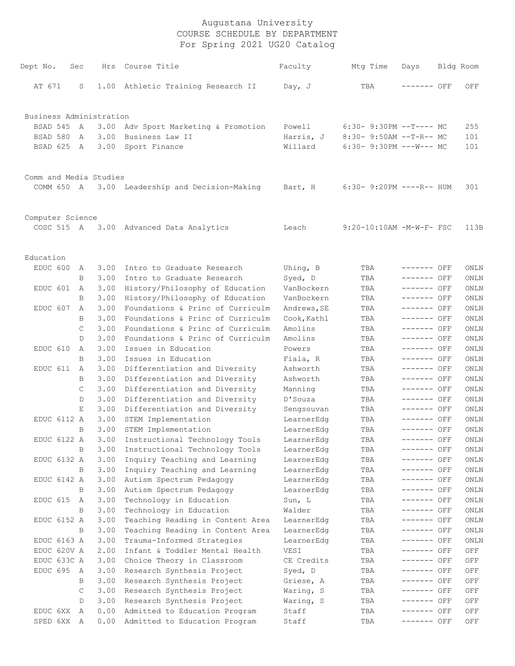| Dept No.                | Sec          |              | Hrs Course Title                                     | Faculty                  | Mtg Time                    | Days                       | Bldg Room    |
|-------------------------|--------------|--------------|------------------------------------------------------|--------------------------|-----------------------------|----------------------------|--------------|
| AT 671                  | S            |              | 1.00 Athletic Training Research II                   | Day, $J$                 | TBA                         | ------- OFF                | OFF          |
| Business Administration |              |              |                                                      |                          |                             |                            |              |
| BSAD 545                | A            | 3.00         | Adv Sport Marketing & Promotion                      | Powell                   | $6:30-9:30PM --T---MC$      |                            | 255          |
| BSAD 580                | A            | 3.00         | Business Law II                                      | Harris, J                | 8:30- 9:50AM --T-R-- MC     |                            | 101          |
| BSAD 625                | A            | 3.00         | Sport Finance                                        | Willard                  | $6:30-9:30PM$ ---W--- MC    |                            | 101          |
|                         |              |              |                                                      |                          |                             |                            |              |
| Comm and Media Studies  |              |              |                                                      |                          |                             |                            |              |
| COMM 650 A              |              |              | 3.00 Leadership and Decision-Making                  | Bart, H                  | $6:30 - 9:20PM$ ----R-- HUM |                            | 301          |
| Computer Science        |              |              |                                                      |                          |                             |                            |              |
|                         |              |              | COSC 515 A 3.00 Advanced Data Analytics              | Leach                    | 9:20-10:10AM -M-W-F- FSC    |                            | 113B         |
|                         |              |              |                                                      |                          |                             |                            |              |
| Education               |              |              |                                                      |                          |                             |                            |              |
| EDUC 600                | A            | 3.00         | Intro to Graduate Research                           | Uhing, $B$               | TBA                         | ------- OFF                | ONLN         |
|                         | B            | 3.00         | Intro to Graduate Research                           | Syed, D                  | TBA                         | ------- OFF                | ONLN         |
| EDUC 601                | A            | 3.00         | History/Philosophy of Education                      | VanBockern               | TBA                         | ------- OFF                | ONLN         |
|                         | B            | 3.00         | History/Philosophy of Education                      | VanBockern               | TBA                         | ------- OFF                | ONLN         |
| EDUC 607                | A            | 3.00         | Foundations & Princ of Curriculm                     | Andrews, SE              | TBA                         | ------- OFF                | ONLN         |
|                         | B            | 3.00         | Foundations & Princ of Curriculm                     | Cook, Kathl              | TBA                         | ------- OFF                | ONLN         |
|                         | C            | 3.00         | Foundations & Princ of Curriculm                     | Amolins                  | TBA                         | ------- OFF                | ONLN         |
|                         | D            | 3.00         | Foundations & Princ of Curriculm                     | Amolins                  | TBA                         | ------- OFF                | ONLN         |
| EDUC 610                | A            | 3.00         | Issues in Education                                  | Powers                   | TBA                         | ------- OFF                | ONLN         |
|                         | B            | 3.00         | Issues in Education                                  | Fiala, R                 | TBA                         | ------- OFF                | ONLN         |
| EDUC 611                | A            | 3.00         | Differentiation and Diversity                        | Ashworth                 | TBA                         | ------- OFF                | ONLN         |
|                         | B            | 3.00         | Differentiation and Diversity                        | Ashworth                 | TBA                         | ------- OFF                | ONLN         |
|                         | C            | 3.00         | Differentiation and Diversity                        | Manning                  | TBA                         | ------- OFF                | ONLN         |
|                         | D            | 3.00         | Differentiation and Diversity                        | D'Souza                  | TBA                         | ------- OFF                | ONLN         |
|                         | E.           | 3.00         | Differentiation and Diversity                        | Sengsouvan               | TBA                         | ------- OFF                | ONLN         |
| EDUC 6112 A             |              | 3.00         | STEM Implementation                                  | LearnerEdg               | TBA                         | ------- OFF                | ONLN         |
|                         | В            | 3.00         | STEM Implementation                                  | LearnerEdg               | TBA                         | ------- OFF                | ONLN         |
| EDUC 6122 A             |              | 3.00         | Instructional Technology Tools                       | LearnerEdg               | TBA                         | ----- OFF                  | ONLN         |
|                         | B            | 3.00         | Instructional Technology Tools                       | LearnerEdg               | TBA                         | ------- OFF                | ONLN         |
| EDUC 6132 A             |              | 3.00         | Inquiry Teaching and Learning                        | LearnerEdg               | TBA                         | ------- OFF                | ONLN         |
|                         | B            | 3.00         | Inquiry Teaching and Learning                        | LearnerEdg               | TBA                         | ------- OFF<br>------- OFF | ONLN         |
| EDUC 6142 A             |              | 3.00         | Autism Spectrum Pedagogy<br>Autism Spectrum Pedagogy | LearnerEdg               | TBA                         | ------- OFF                | ONLN         |
| EDUC 615                | В            | 3.00         |                                                      | LearnerEdg               | TBA                         | ------- OFF                | ONLN         |
|                         | A<br>B       | 3.00<br>3.00 | Technology in Education<br>Technology in Education   | Sun, L<br>Walder         | TBA                         | ------- OFF                | ONLN<br>ONLN |
| EDUC 6152 A             |              | 3.00         | Teaching Reading in Content Area                     |                          | TBA                         | ------- OFF                | ONLN         |
|                         | B            | 3.00         | Teaching Reading in Content Area                     | LearnerEdg               | TBA                         | ------- OFF                | ONLN         |
| EDUC 6163 A             |              | 3.00         | Trauma-Informed Strategies                           | LearnerEdg<br>LearnerEdg | TBA                         | ------- OFF                |              |
| EDUC 620V A             |              | 2.00         | Infant & Toddler Mental Health                       | VESI                     | TBA<br>TBA                  | ------- OFF                | ONLN<br>OFF  |
| EDUC 633C A             |              | 3.00         | Choice Theory in Classroom                           | CE Credits               |                             | ------- OFF                |              |
| EDUC 695                | A            | 3.00         | Research Synthesis Project                           | Syed, D                  | TBA<br>TBA                  | ------- OFF                | OFF<br>OFF   |
|                         | В            | 3.00         | Research Synthesis Project                           | Griese, A                | TBA                         | ------- OFF                | OFF          |
|                         | $\mathsf{C}$ | 3.00         | Research Synthesis Project                           | Waring, S                | TBA                         | ------- OFF                | OFF          |
|                         | D            | 3.00         | Research Synthesis Project                           | Waring, S                | TBA                         | ------- OFF                | OFF          |
| EDUC 6XX                | A            | 0.00         | Admitted to Education Program                        | Staff                    | TBA                         | ------- OFF                | OFF          |
| SPED 6XX                | A            | 0.00         | Admitted to Education Program                        | Staff                    | TBA                         | ------- OFF                | OFF          |
|                         |              |              |                                                      |                          |                             |                            |              |